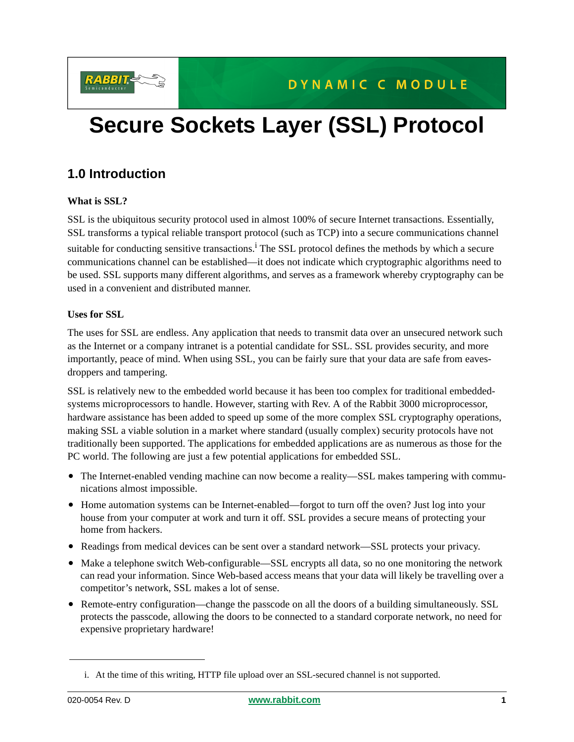

# **Secure Sockets Layer (SSL) Protocol**

# **1.0 Introduction**

#### **What is SSL?**

SSL is the ubiquitous security protocol used in almost 100% of secure Internet transactions. Essentially, SSL transforms a typical reliable transport protocol (such as TCP) into a secure communications channel suitable for conducting sensitive transactions.<sup>1</sup> The SSL protocol defines the methods by which a secure communications channel can be established—it does not indicate which cryptographic algorithms need to be used. SSL supports many different algorithms, and serves as a framework whereby cryptography can be used in a convenient and distributed manner.

#### **Uses for SSL**

The uses for SSL are endless. Any application that needs to transmit data over an unsecured network such as the Internet or a company intranet is a potential candidate for SSL. SSL provides security, and more importantly, peace of mind. When using SSL, you can be fairly sure that your data are safe from eavesdroppers and tampering.

SSL is relatively new to the embedded world because it has been too complex for traditional embeddedsystems microprocessors to handle. However, starting with Rev. A of the Rabbit 3000 microprocessor, hardware assistance has been added to speed up some of the more complex SSL cryptography operations, making SSL a viable solution in a market where standard (usually complex) security protocols have not traditionally been supported. The applications for embedded applications are as numerous as those for the PC world. The following are just a few potential applications for embedded SSL.

- The Internet-enabled vending machine can now become a reality—SSL makes tampering with communications almost impossible.
- Home automation systems can be Internet-enabled—forgot to turn off the oven? Just log into your house from your computer at work and turn it off. SSL provides a secure means of protecting your home from hackers.
- Readings from medical devices can be sent over a standard network—SSL protects your privacy.
- Make a telephone switch Web-configurable—SSL encrypts all data, so no one monitoring the network can read your information. Since Web-based access means that your data will likely be travelling over a competitor's network, SSL makes a lot of sense.
- Remote-entry configuration—change the passcode on all the doors of a building simultaneously. SSL protects the passcode, allowing the doors to be connected to a standard corporate network, no need for expensive proprietary hardware!

i. At the time of this writing, HTTP file upload over an SSL-secured channel is not supported.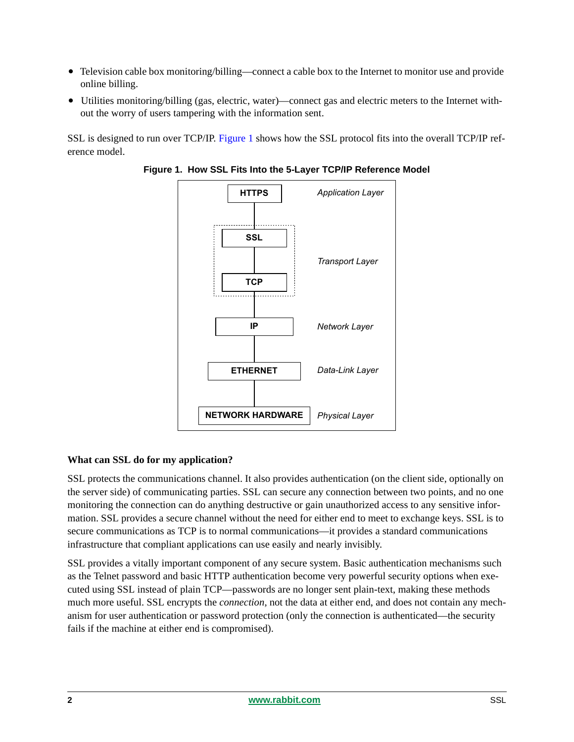- Television cable box monitoring/billing—connect a cable box to the Internet to monitor use and provide online billing.
- Utilities monitoring/billing (gas, electric, water)—connect gas and electric meters to the Internet without the worry of users tampering with the information sent.

<span id="page-1-0"></span>SSL is designed to run over TCP/IP. [Figure 1](#page-1-0) shows how the SSL protocol fits into the overall TCP/IP reference model.





#### **What can SSL do for my application?**

SSL protects the communications channel. It also provides authentication (on the client side, optionally on the server side) of communicating parties. SSL can secure any connection between two points, and no one monitoring the connection can do anything destructive or gain unauthorized access to any sensitive information. SSL provides a secure channel without the need for either end to meet to exchange keys. SSL is to secure communications as TCP is to normal communications—it provides a standard communications infrastructure that compliant applications can use easily and nearly invisibly.

SSL provides a vitally important component of any secure system. Basic authentication mechanisms such as the Telnet password and basic HTTP authentication become very powerful security options when executed using SSL instead of plain TCP—passwords are no longer sent plain-text, making these methods much more useful. SSL encrypts the *connection*, not the data at either end, and does not contain any mechanism for user authentication or password protection (only the connection is authenticated—the security fails if the machine at either end is compromised).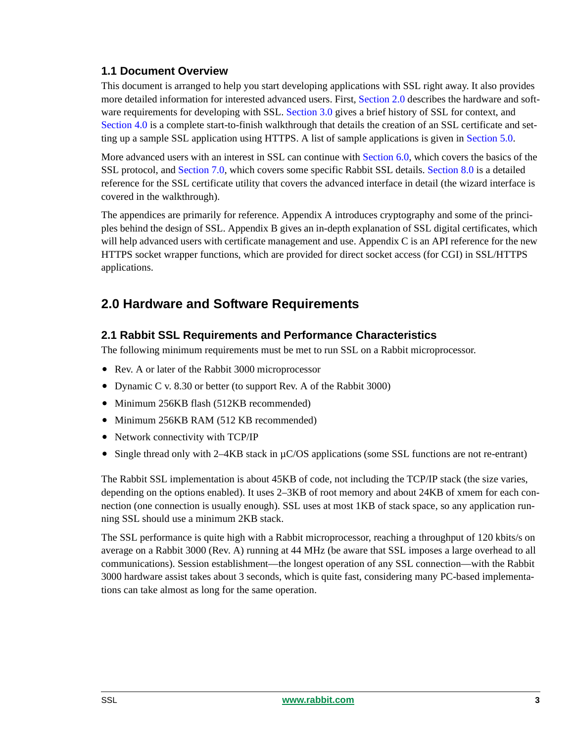### **1.1 Document Overview**

This document is arranged to help you start developing applications with SSL right away. It also provides more detailed information for interested advanced users. First, [Section 2.0](#page-2-0) describes the hardware and software requirements for developing with SSL. [Section 3.0](#page-3-0) gives a brief history of SSL for context, and [Section 4.0](#page-3-1) is a complete start-to-finish walkthrough that details the creation of an SSL certificate and setting up a sample SSL application using HTTPS. A list of sample applications is given in [Section 5.0](#page-9-0).

More advanced users with an interest in SSL can continue with [Section 6.0](#page-10-0), which covers the basics of the SSL protocol, and [Section 7.0,](#page-13-0) which covers some specific Rabbit SSL details. [Section 8.0](#page-15-0) is a detailed reference for the SSL certificate utility that covers the advanced interface in detail (the wizard interface is covered in the walkthrough).

The appendices are primarily for reference. Appendix A introduces cryptography and some of the principles behind the design of SSL. Appendix B gives an in-depth explanation of SSL digital certificates, which will help advanced users with certificate management and use. Appendix C is an API reference for the new HTTPS socket wrapper functions, which are provided for direct socket access (for CGI) in SSL/HTTPS applications.

# <span id="page-2-0"></span>**2.0 Hardware and Software Requirements**

### **2.1 Rabbit SSL Requirements and Performance Characteristics**

The following minimum requirements must be met to run SSL on a Rabbit microprocessor.

- Rev. A or later of the Rabbit 3000 microprocessor
- Dynamic C v. 8.30 or better (to support Rev. A of the Rabbit 3000)
- Minimum 256KB flash (512KB recommended)
- Minimum 256KB RAM (512 KB recommended)
- Network connectivity with TCP/IP
- Single thread only with 2–4KB stack in  $\mu$ C/OS applications (some SSL functions are not re-entrant)

The Rabbit SSL implementation is about 45KB of code, not including the TCP/IP stack (the size varies, depending on the options enabled). It uses 2–3KB of root memory and about 24KB of xmem for each connection (one connection is usually enough). SSL uses at most 1KB of stack space, so any application running SSL should use a minimum 2KB stack.

The SSL performance is quite high with a Rabbit microprocessor, reaching a throughput of 120 kbits/s on average on a Rabbit 3000 (Rev. A) running at 44 MHz (be aware that SSL imposes a large overhead to all communications). Session establishment—the longest operation of any SSL connection—with the Rabbit 3000 hardware assist takes about 3 seconds, which is quite fast, considering many PC-based implementations can take almost as long for the same operation.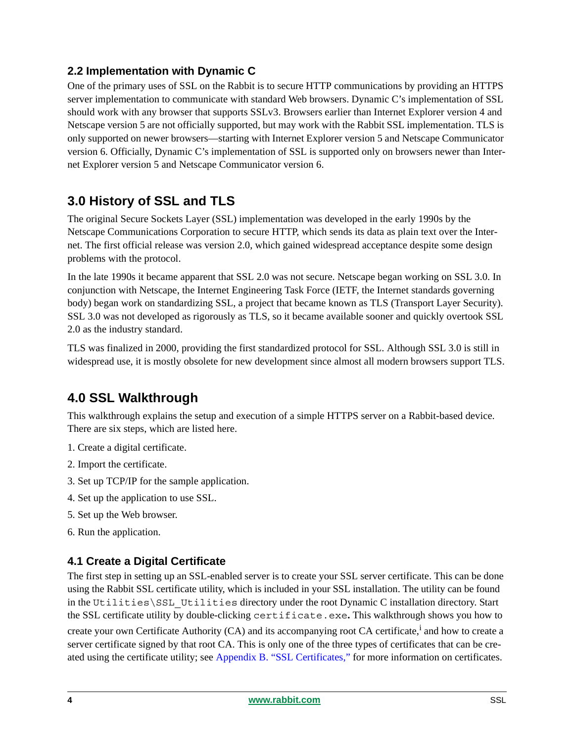### **2.2 Implementation with Dynamic C**

One of the primary uses of SSL on the Rabbit is to secure HTTP communications by providing an HTTPS server implementation to communicate with standard Web browsers. Dynamic C's implementation of SSL should work with any browser that supports SSLv3. Browsers earlier than Internet Explorer version 4 and Netscape version 5 are not officially supported, but may work with the Rabbit SSL implementation. TLS is only supported on newer browsers—starting with Internet Explorer version 5 and Netscape Communicator version 6. Officially, Dynamic C's implementation of SSL is supported only on browsers newer than Internet Explorer version 5 and Netscape Communicator version 6.

# <span id="page-3-0"></span>**3.0 History of SSL and TLS**

The original Secure Sockets Layer (SSL) implementation was developed in the early 1990s by the Netscape Communications Corporation to secure HTTP, which sends its data as plain text over the Internet. The first official release was version 2.0, which gained widespread acceptance despite some design problems with the protocol.

In the late 1990s it became apparent that SSL 2.0 was not secure. Netscape began working on SSL 3.0. In conjunction with Netscape, the Internet Engineering Task Force (IETF, the Internet standards governing body) began work on standardizing SSL, a project that became known as TLS (Transport Layer Security). SSL 3.0 was not developed as rigorously as TLS, so it became available sooner and quickly overtook SSL 2.0 as the industry standard.

TLS was finalized in 2000, providing the first standardized protocol for SSL. Although SSL 3.0 is still in widespread use, it is mostly obsolete for new development since almost all modern browsers support TLS.

# <span id="page-3-1"></span>**4.0 SSL Walkthrough**

This walkthrough explains the setup and execution of a simple HTTPS server on a Rabbit-based device. There are six steps, which are listed here.

- 1. Create a digital certificate.
- 2. Import the certificate.
- 3. Set up TCP/IP for the sample application.
- 4. Set up the application to use SSL.
- 5. Set up the Web browser.
- 6. Run the application.

### <span id="page-3-2"></span>**4.1 Create a Digital Certificate**

The first step in setting up an SSL-enabled server is to create your SSL server certificate. This can be done using the Rabbit SSL certificate utility, which is included in your SSL installation. The utility can be found in the Utilities\SSL\_Utilities directory under the root Dynamic C installation directory. Start the SSL certificate utility by double-clicking certificate.exe**.** This walkthrough shows you how to

create your own Certificate Authority (CA) and its accompanying root CA certificate,<sup>i</sup> and how to create a server certificate signed by that root CA. This is only one of the three types of certificates that can be created using the certificate utility; see [Appendix B. "SSL Certificates,"](#page-27-0) for more information on certificates.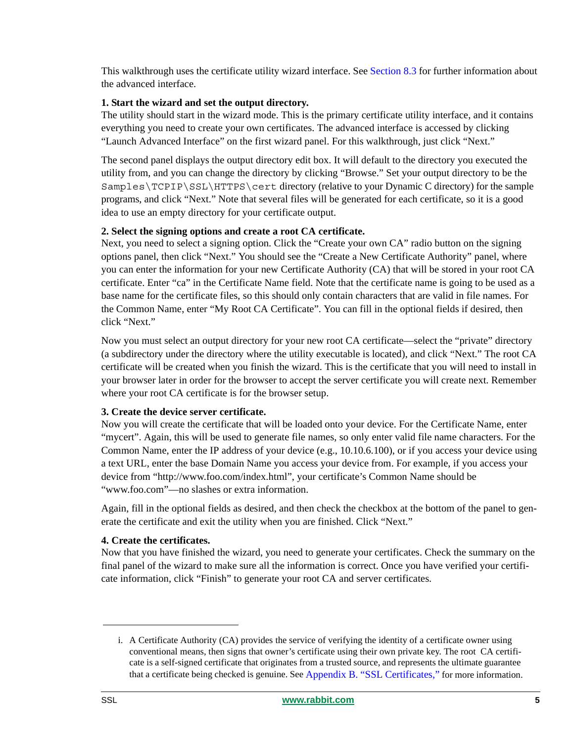This walkthrough uses the certificate utility wizard interface. See [Section 8.3](#page-16-0) for further information about the advanced interface.

#### <span id="page-4-0"></span>**1. Start the wizard and set the output directory.**

The utility should start in the wizard mode. This is the primary certificate utility interface, and it contains everything you need to create your own certificates. The advanced interface is accessed by clicking "Launch Advanced Interface" on the first wizard panel. For this walkthrough, just click "Next."

The second panel displays the output directory edit box. It will default to the directory you executed the utility from, and you can change the directory by clicking "Browse." Set your output directory to be the Samples\TCPIP\SSL\HTTPS\cert directory (relative to your Dynamic C directory) for the sample programs, and click "Next." Note that several files will be generated for each certificate, so it is a good idea to use an empty directory for your certificate output.

#### **2. Select the signing options and create a root CA certificate.**

Next, you need to select a signing option. Click the "Create your own CA" radio button on the signing options panel, then click "Next." You should see the "Create a New Certificate Authority" panel, where you can enter the information for your new Certificate Authority (CA) that will be stored in your root CA certificate. Enter "ca" in the Certificate Name field. Note that the certificate name is going to be used as a base name for the certificate files, so this should only contain characters that are valid in file names. For the Common Name, enter "My Root CA Certificate". You can fill in the optional fields if desired, then click "Next."

Now you must select an output directory for your new root CA certificate—select the "private" directory (a subdirectory under the directory where the utility executable is located), and click "Next." The root CA certificate will be created when you finish the wizard. This is the certificate that you will need to install in your browser later in order for the browser to accept the server certificate you will create next. Remember where your root CA certificate is for the browser setup.

#### **3. Create the device server certificate.**

Now you will create the certificate that will be loaded onto your device. For the Certificate Name, enter "mycert". Again, this will be used to generate file names, so only enter valid file name characters. For the Common Name, enter the IP address of your device (e.g., 10.10.6.100), or if you access your device using a text URL, enter the base Domain Name you access your device from. For example, if you access your device from "http://www.foo.com/index.html", your certificate's Common Name should be "www.foo.com"—no slashes or extra information.

Again, fill in the optional fields as desired, and then check the checkbox at the bottom of the panel to generate the certificate and exit the utility when you are finished. Click "Next."

#### **4. Create the certificates.**

Now that you have finished the wizard, you need to generate your certificates. Check the summary on the final panel of the wizard to make sure all the information is correct. Once you have verified your certificate information, click "Finish" to generate your root CA and server certificates.

i. A Certificate Authority (CA) provides the service of verifying the identity of a certificate owner using conventional means, then signs that owner's certificate using their own private key. The root CA certificate is a self-signed certificate that originates from a trusted source, and represents the ultimate guarantee that a certificate being checked is genuine. See [Appendix B. "SSL Certificates,"](#page-27-0) for more information.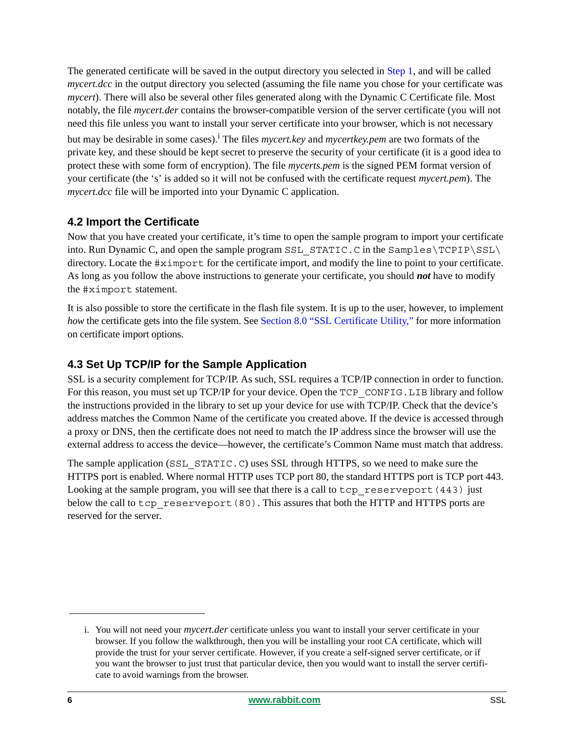The generated certificate will be saved in the output directory you selected in [Step 1,](#page-4-0) and will be called *mycert.dcc* in the output directory you selected (assuming the file name you chose for your certificate was *mycert*). There will also be several other files generated along with the Dynamic C Certificate file. Most notably, the file *mycert.der* contains the browser-compatible version of the server certificate (you will not need this file unless you want to install your server certificate into your browser, which is not necessary

but may be desirable in some cases).<sup>i</sup> The files *mycert.key* and *mycertkey.pem* are two formats of the private key, and these should be kept secret to preserve the security of your certificate (it is a good idea to protect these with some form of encryption). The file *mycerts.pem* is the signed PEM format version of your certificate (the 's' is added so it will not be confused with the certificate request *mycert.pem*). The *mycert.dcc* file will be imported into your Dynamic C application.

### **4.2 Import the Certificate**

Now that you have created your certificate, it's time to open the sample program to import your certificate into. Run Dynamic C, and open the sample program SSL\_STATIC. C in the Samples\TCPIP\SSL\ directory. Locate the #ximport for the certificate import, and modify the line to point to your certificate. As long as you follow the above instructions to generate your certificate, you should *not* have to modify the #ximport statement.

It is also possible to store the certificate in the flash file system. It is up to the user, however, to implement *how* the certificate gets into the file system. See [Section 8.0 "SSL Certificate Utility,"](#page-15-0) for more information on certificate import options.

### **4.3 Set Up TCP/IP for the Sample Application**

SSL is a security complement for TCP/IP. As such, SSL requires a TCP/IP connection in order to function. For this reason, you must set up TCP/IP for your device. Open the TCP CONFIG. LIB library and follow the instructions provided in the library to set up your device for use with TCP/IP. Check that the device's address matches the Common Name of the certificate you created above. If the device is accessed through a proxy or DNS, then the certificate does not need to match the IP address since the browser will use the external address to access the device—however, the certificate's Common Name must match that address.

The sample application (SSL\_STATIC.C) uses SSL through HTTPS, so we need to make sure the HTTPS port is enabled. Where normal HTTP uses TCP port 80, the standard HTTPS port is TCP port 443. Looking at the sample program, you will see that there is a call to tcp\_reserveport(443) just below the call to tcp\_reserveport(80). This assures that both the HTTP and HTTPS ports are reserved for the server.

i. You will not need your *mycert.der* certificate unless you want to install your server certificate in your browser. If you follow the walkthrough, then you will be installing your root CA certificate, which will provide the trust for your server certificate. However, if you create a self-signed server certificate, or if you want the browser to just trust that particular device, then you would want to install the server certificate to avoid warnings from the browser.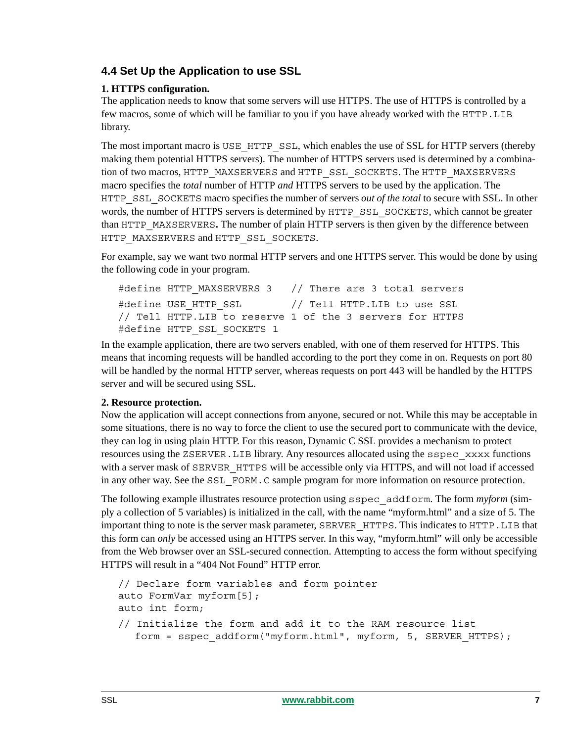### **4.4 Set Up the Application to use SSL**

### **1. HTTPS configuration.**

The application needs to know that some servers will use HTTPS. The use of HTTPS is controlled by a few macros, some of which will be familiar to you if you have already worked with the HTTP.LIB library.

The most important macro is USE\_HTTP\_SSL, which enables the use of SSL for HTTP servers (thereby making them potential HTTPS servers). The number of HTTPS servers used is determined by a combination of two macros, HTTP\_MAXSERVERS and HTTP\_SSL\_SOCKETS. The HTTP\_MAXSERVERS macro specifies the *total* number of HTTP *and* HTTPS servers to be used by the application. The HTTP\_SSL\_SOCKETS macro specifies the number of servers *out of the total* to secure with SSL. In other words, the number of HTTPS servers is determined by HTTP\_SSL\_SOCKETS, which cannot be greater than HTTP\_MAXSERVERS**.** The number of plain HTTP servers is then given by the difference between HTTP\_MAXSERVERS and HTTP\_SSL\_SOCKETS.

For example, say we want two normal HTTP servers and one HTTPS server. This would be done by using the following code in your program.

```
#define HTTP MAXSERVERS 3 // There are 3 total servers
#define USE_HTTP_SSL // Tell HTTP.LIB to use SSL
// Tell HTTP.LIB to reserve 1 of the 3 servers for HTTPS
#define HTTP SSL SOCKETS 1
```
In the example application, there are two servers enabled, with one of them reserved for HTTPS. This means that incoming requests will be handled according to the port they come in on. Requests on port 80 will be handled by the normal HTTP server, whereas requests on port 443 will be handled by the HTTPS server and will be secured using SSL.

### **2. Resource protection.**

Now the application will accept connections from anyone, secured or not. While this may be acceptable in some situations, there is no way to force the client to use the secured port to communicate with the device, they can log in using plain HTTP. For this reason, Dynamic C SSL provides a mechanism to protect resources using the ZSERVER.LIB library. Any resources allocated using the sspec\_xxxx functions with a server mask of SERVER HTTPS will be accessible only via HTTPS, and will not load if accessed in any other way. See the SSL FORM. C sample program for more information on resource protection.

The following example illustrates resource protection using sspec\_addform. The form *myform* (simply a collection of 5 variables) is initialized in the call, with the name "myform.html" and a size of 5. The important thing to note is the server mask parameter, SERVER\_HTTPS. This indicates to HTTP.LIB that this form can *only* be accessed using an HTTPS server. In this way, "myform.html" will only be accessible from the Web browser over an SSL-secured connection. Attempting to access the form without specifying HTTPS will result in a "404 Not Found" HTTP error.

```
// Declare form variables and form pointer
auto FormVar myform[5];
auto int form;
// Initialize the form and add it to the RAM resource list
  form = sspec addform("myform.html", myform, 5, SERVER HTTPS);
```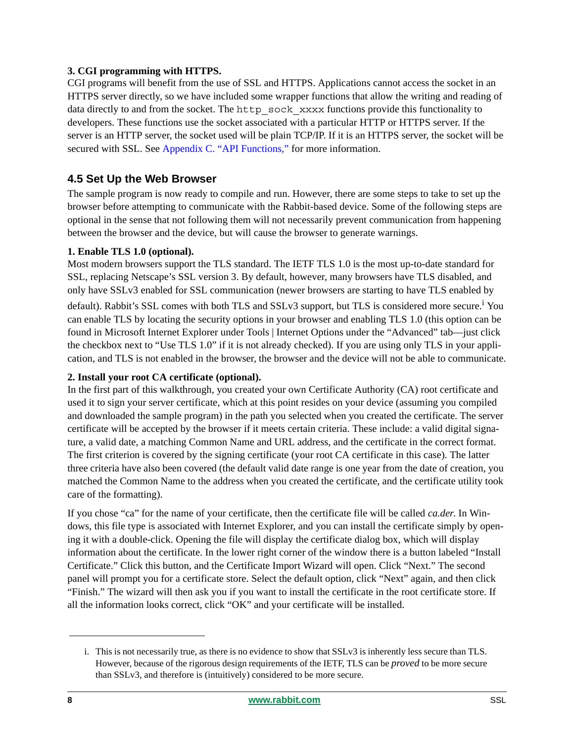#### **3. CGI programming with HTTPS.**

CGI programs will benefit from the use of SSL and HTTPS. Applications cannot access the socket in an HTTPS server directly, so we have included some wrapper functions that allow the writing and reading of data directly to and from the socket. The http\_sock\_xxxx functions provide this functionality to developers. These functions use the socket associated with a particular HTTP or HTTPS server. If the server is an HTTP server, the socket used will be plain TCP/IP. If it is an HTTPS server, the socket will be secured with SSL. See [Appendix C. "API Functions,"](#page-30-0) for more information.

### <span id="page-7-0"></span>**4.5 Set Up the Web Browser**

The sample program is now ready to compile and run. However, there are some steps to take to set up the browser before attempting to communicate with the Rabbit-based device. Some of the following steps are optional in the sense that not following them will not necessarily prevent communication from happening between the browser and the device, but will cause the browser to generate warnings.

#### **1. Enable TLS 1.0 (optional).**

Most modern browsers support the TLS standard. The IETF TLS 1.0 is the most up-to-date standard for SSL, replacing Netscape's SSL version 3. By default, however, many browsers have TLS disabled, and only have SSLv3 enabled for SSL communication (newer browsers are starting to have TLS enabled by default). Rabbit's SSL comes with both TLS and SSLv3 support, but TLS is considered more secure.<sup>i</sup> You can enable TLS by locating the security options in your browser and enabling TLS 1.0 (this option can be found in Microsoft Internet Explorer under Tools | Internet Options under the "Advanced" tab—just click the checkbox next to "Use TLS 1.0" if it is not already checked). If you are using only TLS in your application, and TLS is not enabled in the browser, the browser and the device will not be able to communicate.

#### **2. Install your root CA certificate (optional).**

In the first part of this walkthrough, you created your own Certificate Authority (CA) root certificate and used it to sign your server certificate, which at this point resides on your device (assuming you compiled and downloaded the sample program) in the path you selected when you created the certificate. The server certificate will be accepted by the browser if it meets certain criteria. These include: a valid digital signature, a valid date, a matching Common Name and URL address, and the certificate in the correct format. The first criterion is covered by the signing certificate (your root CA certificate in this case). The latter three criteria have also been covered (the default valid date range is one year from the date of creation, you matched the Common Name to the address when you created the certificate, and the certificate utility took care of the formatting).

If you chose "ca" for the name of your certificate, then the certificate file will be called *ca.der*. In Windows, this file type is associated with Internet Explorer, and you can install the certificate simply by opening it with a double-click. Opening the file will display the certificate dialog box, which will display information about the certificate. In the lower right corner of the window there is a button labeled "Install Certificate." Click this button, and the Certificate Import Wizard will open. Click "Next." The second panel will prompt you for a certificate store. Select the default option, click "Next" again, and then click "Finish." The wizard will then ask you if you want to install the certificate in the root certificate store. If all the information looks correct, click "OK" and your certificate will be installed.

i. This is not necessarily true, as there is no evidence to show that SSLv3 is inherently less secure than TLS. However, because of the rigorous design requirements of the IETF, TLS can be *proved* to be more secure than SSLv3, and therefore is (intuitively) considered to be more secure.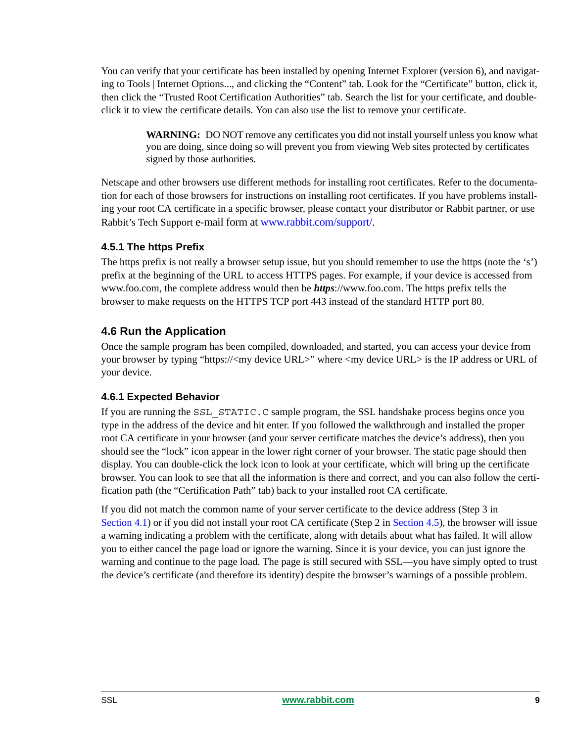You can verify that your certificate has been installed by opening Internet Explorer (version 6), and navigating to Tools | Internet Options..., and clicking the "Content" tab. Look for the "Certificate" button, click it, then click the "Trusted Root Certification Authorities" tab. Search the list for your certificate, and doubleclick it to view the certificate details. You can also use the list to remove your certificate.

**WARNING:** DO NOT remove any certificates you did not install yourself unless you know what you are doing, since doing so will prevent you from viewing Web sites protected by certificates signed by those authorities.

Netscape and other browsers use different methods for installing root certificates. Refer to the documentation for each of those browsers for instructions on installing root certificates. If you have problems installing your root CA certificate in a specific browser, please contact your distributor or Rabbit partner, or use Rabbit's Tech Support e-mail form at [www.rabbit.com/support/](http://www.rabbit.com/support/questionSubmit.shtml).

#### **4.5.1 The https Prefix**

The https prefix is not really a browser setup issue, but you should remember to use the https (note the 's') prefix at the beginning of the URL to access HTTPS pages. For example, if your device is accessed from www.foo.com, the complete address would then be *https*://www.foo.com. The https prefix tells the browser to make requests on the HTTPS TCP port 443 instead of the standard HTTP port 80.

### **4.6 Run the Application**

Once the sample program has been compiled, downloaded, and started, you can access your device from your browser by typing "https://<my device URL>" where <my device URL> is the IP address or URL of your device.

### **4.6.1 Expected Behavior**

If you are running the SSL\_STATIC.C sample program, the SSL handshake process begins once you type in the address of the device and hit enter. If you followed the walkthrough and installed the proper root CA certificate in your browser (and your server certificate matches the device's address), then you should see the "lock" icon appear in the lower right corner of your browser. The static page should then display. You can double-click the lock icon to look at your certificate, which will bring up the certificate browser. You can look to see that all the information is there and correct, and you can also follow the certification path (the "Certification Path" tab) back to your installed root CA certificate.

If you did not match the common name of your server certificate to the device address (Step 3 in [Section 4.1](#page-3-2)) or if you did not install your root CA certificate (Step 2 in [Section 4.5\)](#page-7-0), the browser will issue a warning indicating a problem with the certificate, along with details about what has failed. It will allow you to either cancel the page load or ignore the warning. Since it is your device, you can just ignore the warning and continue to the page load. The page is still secured with SSL—you have simply opted to trust the device's certificate (and therefore its identity) despite the browser's warnings of a possible problem.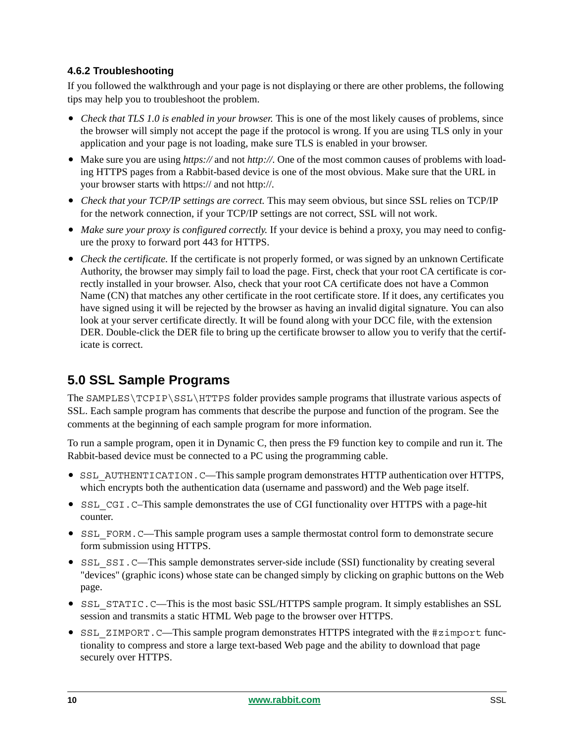### **4.6.2 Troubleshooting**

If you followed the walkthrough and your page is not displaying or there are other problems, the following tips may help you to troubleshoot the problem.

- *Check that TLS 1.0 is enabled in your browser.* This is one of the most likely causes of problems, since the browser will simply not accept the page if the protocol is wrong. If you are using TLS only in your application and your page is not loading, make sure TLS is enabled in your browser.
- Make sure you are using *https://* and not *http://*. One of the most common causes of problems with loading HTTPS pages from a Rabbit-based device is one of the most obvious. Make sure that the URL in your browser starts with https:// and not http://.
- *Check that your TCP/IP settings are correct.* This may seem obvious, but since SSL relies on TCP/IP for the network connection, if your TCP/IP settings are not correct, SSL will not work.
- Make sure your proxy is configured correctly. If your device is behind a proxy, you may need to configure the proxy to forward port 443 for HTTPS.
- *Check the certificate.* If the certificate is not properly formed, or was signed by an unknown Certificate Authority, the browser may simply fail to load the page. First, check that your root CA certificate is correctly installed in your browser. Also, check that your root CA certificate does not have a Common Name (CN) that matches any other certificate in the root certificate store. If it does, any certificates you have signed using it will be rejected by the browser as having an invalid digital signature. You can also look at your server certificate directly. It will be found along with your DCC file, with the extension DER. Double-click the DER file to bring up the certificate browser to allow you to verify that the certificate is correct.

# <span id="page-9-0"></span>**5.0 SSL Sample Programs**

The SAMPLES\TCPIP\SSL\HTTPS folder provides sample programs that illustrate various aspects of SSL. Each sample program has comments that describe the purpose and function of the program. See the comments at the beginning of each sample program for more information.

To run a sample program, open it in Dynamic C, then press the F9 function key to compile and run it. The Rabbit-based device must be connected to a PC using the programming cable.

- SSL\_AUTHENTICATION.C—This sample program demonstrates HTTP authentication over HTTPS, which encrypts both the authentication data (username and password) and the Web page itself.
- SSL CGI.C–This sample demonstrates the use of CGI functionality over HTTPS with a page-hit counter.
- SSL FORM. C—This sample program uses a sample thermostat control form to demonstrate secure form submission using HTTPS.
- SSL SSI.C—This sample demonstrates server-side include (SSI) functionality by creating several "devices" (graphic icons) whose state can be changed simply by clicking on graphic buttons on the Web page.
- SSL STATIC.C—This is the most basic SSL/HTTPS sample program. It simply establishes an SSL session and transmits a static HTML Web page to the browser over HTTPS.
- SSL ZIMPORT. C—This sample program demonstrates HTTPS integrated with the #zimport functionality to compress and store a large text-based Web page and the ability to download that page securely over HTTPS.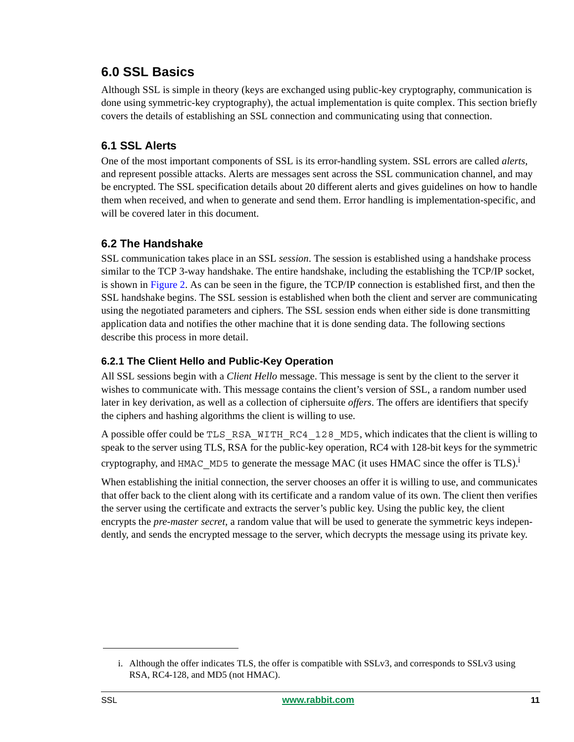# <span id="page-10-0"></span>**6.0 SSL Basics**

Although SSL is simple in theory (keys are exchanged using public-key cryptography, communication is done using symmetric-key cryptography), the actual implementation is quite complex. This section briefly covers the details of establishing an SSL connection and communicating using that connection.

### **6.1 SSL Alerts**

One of the most important components of SSL is its error-handling system. SSL errors are called *alerts*, and represent possible attacks. Alerts are messages sent across the SSL communication channel, and may be encrypted. The SSL specification details about 20 different alerts and gives guidelines on how to handle them when received, and when to generate and send them. Error handling is implementation-specific, and will be covered later in this document.

### **6.2 The Handshake**

SSL communication takes place in an SSL *session*. The session is established using a handshake process similar to the TCP 3-way handshake. The entire handshake, including the establishing the TCP/IP socket, is shown in [Figure 2.](#page-11-0) As can be seen in the figure, the TCP/IP connection is established first, and then the SSL handshake begins. The SSL session is established when both the client and server are communicating using the negotiated parameters and ciphers. The SSL session ends when either side is done transmitting application data and notifies the other machine that it is done sending data. The following sections describe this process in more detail.

### **6.2.1 The Client Hello and Public-Key Operation**

All SSL sessions begin with a *Client Hello* message. This message is sent by the client to the server it wishes to communicate with. This message contains the client's version of SSL, a random number used later in key derivation, as well as a collection of ciphersuite *offers*. The offers are identifiers that specify the ciphers and hashing algorithms the client is willing to use.

A possible offer could be TLS\_RSA\_WITH\_RC4\_128\_MD5, which indicates that the client is willing to speak to the server using TLS, RSA for the public-key operation, RC4 with 128-bit keys for the symmetric cryptography, and HMAC MD5 to generate the message MAC (it uses HMAC since the offer is TLS).<sup>i</sup>

When establishing the initial connection, the server chooses an offer it is willing to use, and communicates that offer back to the client along with its certificate and a random value of its own. The client then verifies the server using the certificate and extracts the server's public key. Using the public key, the client encrypts the *pre-master secret*, a random value that will be used to generate the symmetric keys independently, and sends the encrypted message to the server, which decrypts the message using its private key.

i. Although the offer indicates TLS, the offer is compatible with SSLv3, and corresponds to SSLv3 using RSA, RC4-128, and MD5 (not HMAC).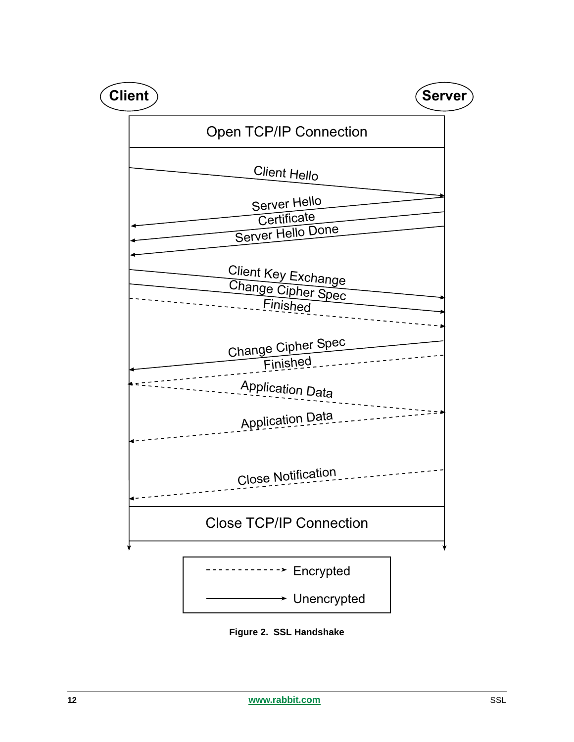

<span id="page-11-0"></span>**Figure 2. SSL Handshake**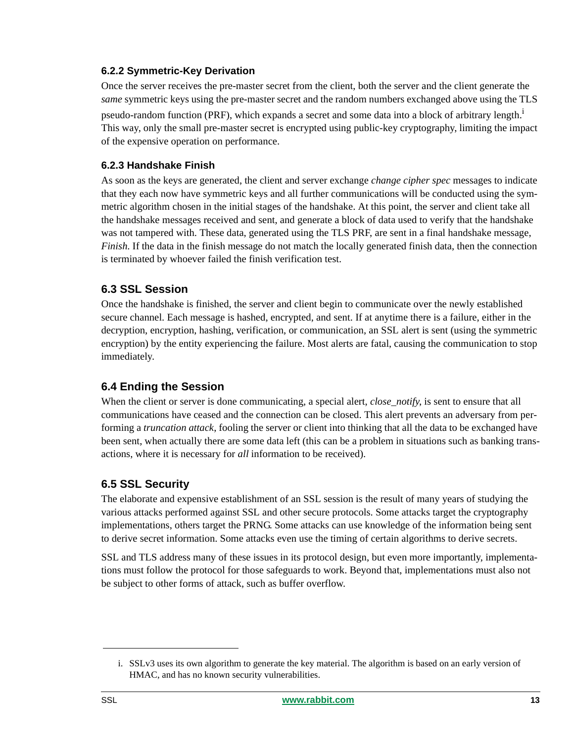#### **6.2.2 Symmetric-Key Derivation**

Once the server receives the pre-master secret from the client, both the server and the client generate the *same* symmetric keys using the pre-master secret and the random numbers exchanged above using the TLS pseudo-random function (PRF), which expands a secret and some data into a block of arbitrary length.<sup>1</sup> This way, only the small pre-master secret is encrypted using public-key cryptography, limiting the impact of the expensive operation on performance.

#### **6.2.3 Handshake Finish**

As soon as the keys are generated, the client and server exchange *change cipher spec* messages to indicate that they each now have symmetric keys and all further communications will be conducted using the symmetric algorithm chosen in the initial stages of the handshake. At this point, the server and client take all the handshake messages received and sent, and generate a block of data used to verify that the handshake was not tampered with. These data, generated using the TLS PRF, are sent in a final handshake message, *Finish*. If the data in the finish message do not match the locally generated finish data, then the connection is terminated by whoever failed the finish verification test.

### **6.3 SSL Session**

Once the handshake is finished, the server and client begin to communicate over the newly established secure channel. Each message is hashed, encrypted, and sent. If at anytime there is a failure, either in the decryption, encryption, hashing, verification, or communication, an SSL alert is sent (using the symmetric encryption) by the entity experiencing the failure. Most alerts are fatal, causing the communication to stop immediately.

### **6.4 Ending the Session**

When the client or server is done communicating, a special alert, *close\_notify*, is sent to ensure that all communications have ceased and the connection can be closed. This alert prevents an adversary from performing a *truncation attack*, fooling the server or client into thinking that all the data to be exchanged have been sent, when actually there are some data left (this can be a problem in situations such as banking transactions, where it is necessary for *all* information to be received).

### **6.5 SSL Security**

The elaborate and expensive establishment of an SSL session is the result of many years of studying the various attacks performed against SSL and other secure protocols. Some attacks target the cryptography implementations, others target the PRNG. Some attacks can use knowledge of the information being sent to derive secret information. Some attacks even use the timing of certain algorithms to derive secrets.

SSL and TLS address many of these issues in its protocol design, but even more importantly, implementations must follow the protocol for those safeguards to work. Beyond that, implementations must also not be subject to other forms of attack, such as buffer overflow.

i. SSLv3 uses its own algorithm to generate the key material. The algorithm is based on an early version of HMAC, and has no known security vulnerabilities.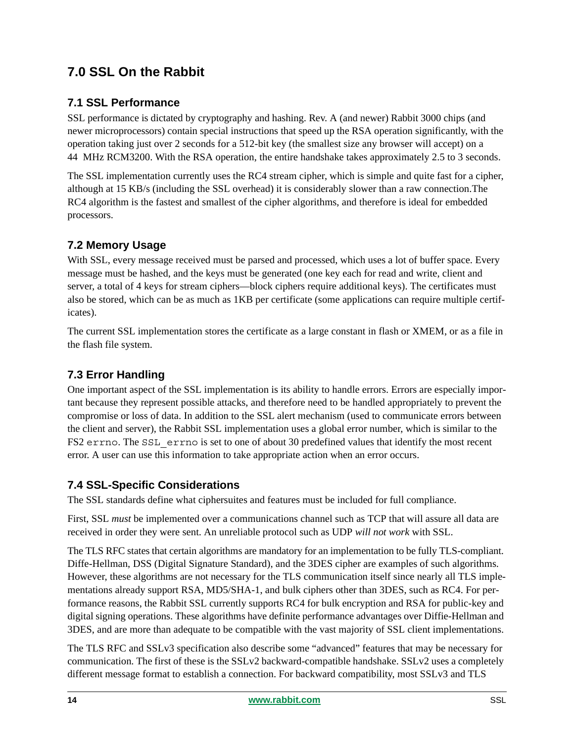# <span id="page-13-0"></span>**7.0 SSL On the Rabbit**

### **7.1 SSL Performance**

SSL performance is dictated by cryptography and hashing. Rev. A (and newer) Rabbit 3000 chips (and newer microprocessors) contain special instructions that speed up the RSA operation significantly, with the operation taking just over 2 seconds for a 512-bit key (the smallest size any browser will accept) on a 44 MHz RCM3200. With the RSA operation, the entire handshake takes approximately 2.5 to 3 seconds.

The SSL implementation currently uses the RC4 stream cipher, which is simple and quite fast for a cipher, although at 15 KB/s (including the SSL overhead) it is considerably slower than a raw connection.The RC4 algorithm is the fastest and smallest of the cipher algorithms, and therefore is ideal for embedded processors.

### **7.2 Memory Usage**

With SSL, every message received must be parsed and processed, which uses a lot of buffer space. Every message must be hashed, and the keys must be generated (one key each for read and write, client and server, a total of 4 keys for stream ciphers—block ciphers require additional keys). The certificates must also be stored, which can be as much as 1KB per certificate (some applications can require multiple certificates).

The current SSL implementation stores the certificate as a large constant in flash or XMEM, or as a file in the flash file system.

### **7.3 Error Handling**

One important aspect of the SSL implementation is its ability to handle errors. Errors are especially important because they represent possible attacks, and therefore need to be handled appropriately to prevent the compromise or loss of data. In addition to the SSL alert mechanism (used to communicate errors between the client and server), the Rabbit SSL implementation uses a global error number, which is similar to the FS2 errno. The SSL\_errno is set to one of about 30 predefined values that identify the most recent error. A user can use this information to take appropriate action when an error occurs.

### **7.4 SSL-Specific Considerations**

The SSL standards define what ciphersuites and features must be included for full compliance.

First, SSL *must* be implemented over a communications channel such as TCP that will assure all data are received in order they were sent. An unreliable protocol such as UDP *will not work* with SSL.

The TLS RFC states that certain algorithms are mandatory for an implementation to be fully TLS-compliant. Diffe-Hellman, DSS (Digital Signature Standard), and the 3DES cipher are examples of such algorithms. However, these algorithms are not necessary for the TLS communication itself since nearly all TLS implementations already support RSA, MD5/SHA-1, and bulk ciphers other than 3DES, such as RC4. For performance reasons, the Rabbit SSL currently supports RC4 for bulk encryption and RSA for public-key and digital signing operations. These algorithms have definite performance advantages over Diffie-Hellman and 3DES, and are more than adequate to be compatible with the vast majority of SSL client implementations.

The TLS RFC and SSLv3 specification also describe some "advanced" features that may be necessary for communication. The first of these is the SSLv2 backward-compatible handshake. SSLv2 uses a completely different message format to establish a connection. For backward compatibility, most SSLv3 and TLS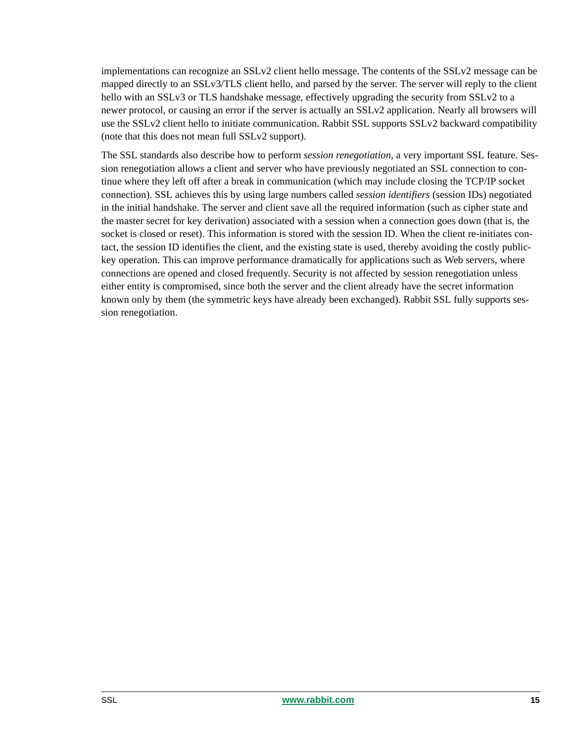implementations can recognize an SSLv2 client hello message. The contents of the SSLv2 message can be mapped directly to an SSLv3/TLS client hello, and parsed by the server. The server will reply to the client hello with an SSLv3 or TLS handshake message, effectively upgrading the security from SSLv2 to a newer protocol, or causing an error if the server is actually an SSLv2 application. Nearly all browsers will use the SSLv2 client hello to initiate communication. Rabbit SSL supports SSLv2 backward compatibility (note that this does not mean full SSLv2 support).

The SSL standards also describe how to perform *session renegotiation*, a very important SSL feature. Session renegotiation allows a client and server who have previously negotiated an SSL connection to continue where they left off after a break in communication (which may include closing the TCP/IP socket connection). SSL achieves this by using large numbers called *session identifiers* (session IDs) negotiated in the initial handshake. The server and client save all the required information (such as cipher state and the master secret for key derivation) associated with a session when a connection goes down (that is, the socket is closed or reset). This information is stored with the session ID. When the client re-initiates contact, the session ID identifies the client, and the existing state is used, thereby avoiding the costly publickey operation. This can improve performance dramatically for applications such as Web servers, where connections are opened and closed frequently. Security is not affected by session renegotiation unless either entity is compromised, since both the server and the client already have the secret information known only by them (the symmetric keys have already been exchanged). Rabbit SSL fully supports session renegotiation.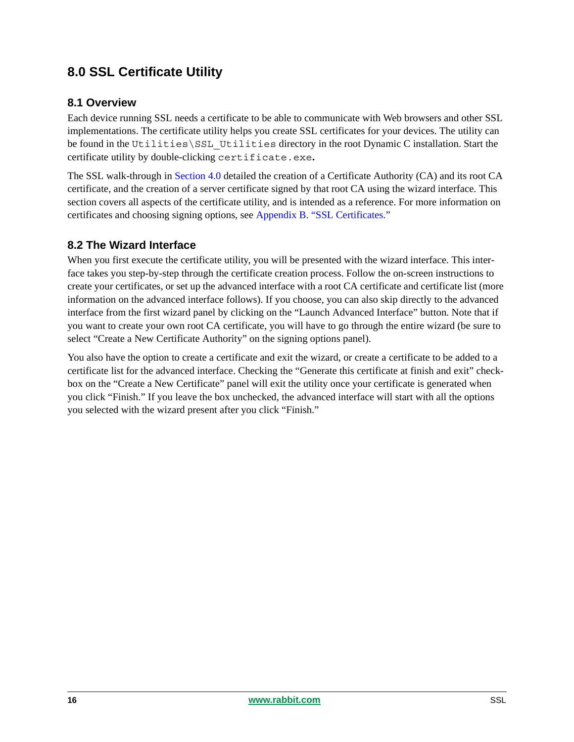# <span id="page-15-0"></span>**8.0 SSL Certificate Utility**

### **8.1 Overview**

Each device running SSL needs a certificate to be able to communicate with Web browsers and other SSL implementations. The certificate utility helps you create SSL certificates for your devices. The utility can be found in the Utilities\SSL\_Utilities directory in the root Dynamic C installation. Start the certificate utility by double-clicking certificate.exe.

The SSL walk-through in [Section 4.0](#page-3-1) detailed the creation of a Certificate Authority (CA) and its root CA certificate, and the creation of a server certificate signed by that root CA using the wizard interface. This section covers all aspects of the certificate utility, and is intended as a reference. For more information on certificates and choosing signing options, see [Appendix B. "SSL Certificates."](#page-27-0)

### **8.2 The Wizard Interface**

When you first execute the certificate utility, you will be presented with the wizard interface. This interface takes you step-by-step through the certificate creation process. Follow the on-screen instructions to create your certificates, or set up the advanced interface with a root CA certificate and certificate list (more information on the advanced interface follows). If you choose, you can also skip directly to the advanced interface from the first wizard panel by clicking on the "Launch Advanced Interface" button. Note that if you want to create your own root CA certificate, you will have to go through the entire wizard (be sure to select "Create a New Certificate Authority" on the signing options panel).

You also have the option to create a certificate and exit the wizard, or create a certificate to be added to a certificate list for the advanced interface. Checking the "Generate this certificate at finish and exit" checkbox on the "Create a New Certificate" panel will exit the utility once your certificate is generated when you click "Finish." If you leave the box unchecked, the advanced interface will start with all the options you selected with the wizard present after you click "Finish."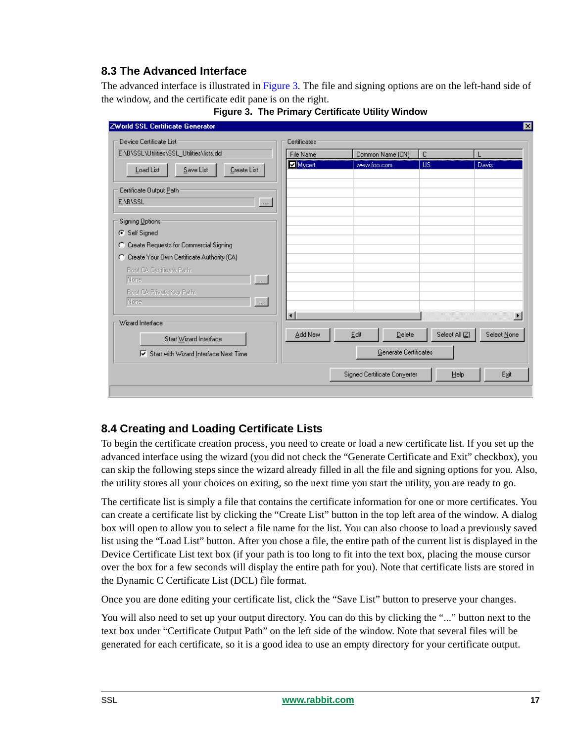### <span id="page-16-0"></span>**8.3 The Advanced Interface**

The advanced interface is illustrated in [Figure 3.](#page-16-1) The file and signing options are on the left-hand side of the window, and the certificate edit pane is on the right.

<span id="page-16-1"></span>

| <b>ZWorld SSL Certificate Generator</b>                 |                        |      |                              |              |                |                       |
|---------------------------------------------------------|------------------------|------|------------------------------|--------------|----------------|-----------------------|
| Device Certificate List                                 | Certificates           |      |                              |              |                |                       |
| E:\B\SSL\Utilities\SSL_Utilities\lists.dcl              | File Name              |      | Common Name (CN)             | $\mathbb{C}$ |                |                       |
| Save List<br>Load List<br>Create List                   | Mycert                 |      | www.foo.com                  | <b>US</b>    |                | Davis                 |
| Certificate Output Path                                 |                        |      |                              |              |                |                       |
| E:\B\SSL<br>$\ldots$                                    |                        |      |                              |              |                |                       |
| Signing Options                                         |                        |      |                              |              |                |                       |
| G Self Signed                                           |                        |      |                              |              |                |                       |
| Create Requests for Commercial Signing<br>o             |                        |      |                              |              |                |                       |
| C Create Your Own Certificate Authority (CA)            |                        |      |                              |              |                |                       |
| Root CA Certificate Path:                               |                        |      |                              |              |                |                       |
| None.<br>$\begin{pmatrix} 1 & 1 \\ 1 & 1 \end{pmatrix}$ |                        |      |                              |              |                |                       |
| Root CA Private Key Path:                               |                        |      |                              |              |                |                       |
| $\sqrt{2}$<br>None                                      |                        |      |                              |              |                |                       |
| Wizard Interface                                        | $\left  \cdot \right $ |      |                              |              |                | $\blacktriangleright$ |
| Start Wizard Interface                                  | Add New                | Edit | Delete                       |              | Select All (Z) | Select None           |
| $\nabla$ Start with Wizard Interface Next Time          |                        |      | Generate Certificates        |              |                |                       |
|                                                         |                        |      | Signed Certificate Converter |              | Help           | Exit                  |
|                                                         |                        |      |                              |              |                |                       |

**Figure 3. The Primary Certificate Utility Window**

### **8.4 Creating and Loading Certificate Lists**

To begin the certificate creation process, you need to create or load a new certificate list. If you set up the advanced interface using the wizard (you did not check the "Generate Certificate and Exit" checkbox), you can skip the following steps since the wizard already filled in all the file and signing options for you. Also, the utility stores all your choices on exiting, so the next time you start the utility, you are ready to go.

The certificate list is simply a file that contains the certificate information for one or more certificates. You can create a certificate list by clicking the "Create List" button in the top left area of the window. A dialog box will open to allow you to select a file name for the list. You can also choose to load a previously saved list using the "Load List" button. After you chose a file, the entire path of the current list is displayed in the Device Certificate List text box (if your path is too long to fit into the text box, placing the mouse cursor over the box for a few seconds will display the entire path for you). Note that certificate lists are stored in the Dynamic C Certificate List (DCL) file format.

Once you are done editing your certificate list, click the "Save List" button to preserve your changes.

You will also need to set up your output directory. You can do this by clicking the "..." button next to the text box under "Certificate Output Path" on the left side of the window. Note that several files will be generated for each certificate, so it is a good idea to use an empty directory for your certificate output.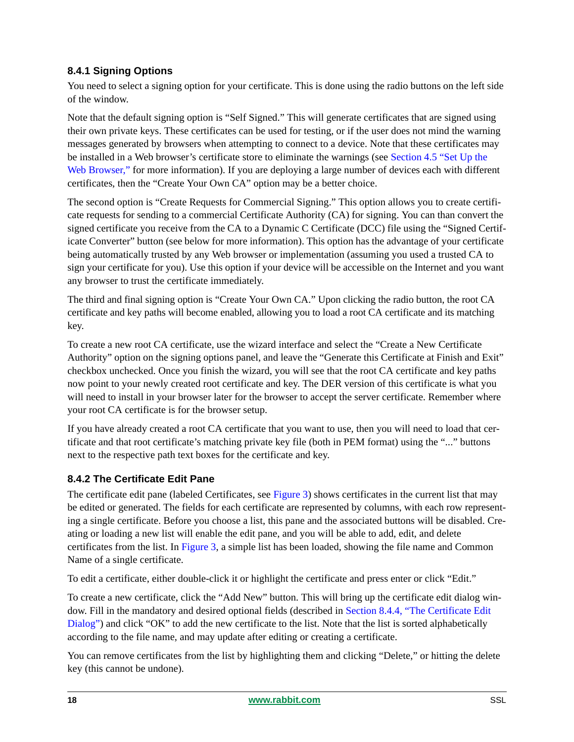### **8.4.1 Signing Options**

You need to select a signing option for your certificate. This is done using the radio buttons on the left side of the window.

Note that the default signing option is "Self Signed." This will generate certificates that are signed using their own private keys. These certificates can be used for testing, or if the user does not mind the warning messages generated by browsers when attempting to connect to a device. Note that these certificates may be installed in a Web browser's certificate store to eliminate the warnings (see [Section 4.5 "Set Up the](#page-7-0)  [Web Browser,"](#page-7-0) for more information). If you are deploying a large number of devices each with different certificates, then the "Create Your Own CA" option may be a better choice.

The second option is "Create Requests for Commercial Signing." This option allows you to create certificate requests for sending to a commercial Certificate Authority (CA) for signing. You can than convert the signed certificate you receive from the CA to a Dynamic C Certificate (DCC) file using the "Signed Certificate Converter" button (see below for more information). This option has the advantage of your certificate being automatically trusted by any Web browser or implementation (assuming you used a trusted CA to sign your certificate for you). Use this option if your device will be accessible on the Internet and you want any browser to trust the certificate immediately.

The third and final signing option is "Create Your Own CA." Upon clicking the radio button, the root CA certificate and key paths will become enabled, allowing you to load a root CA certificate and its matching key.

To create a new root CA certificate, use the wizard interface and select the "Create a New Certificate Authority" option on the signing options panel, and leave the "Generate this Certificate at Finish and Exit" checkbox unchecked. Once you finish the wizard, you will see that the root CA certificate and key paths now point to your newly created root certificate and key. The DER version of this certificate is what you will need to install in your browser later for the browser to accept the server certificate. Remember where your root CA certificate is for the browser setup.

If you have already created a root CA certificate that you want to use, then you will need to load that certificate and that root certificate's matching private key file (both in PEM format) using the "..." buttons next to the respective path text boxes for the certificate and key.

### **8.4.2 The Certificate Edit Pane**

The certificate edit pane (labeled Certificates, see [Figure 3\)](#page-16-1) shows certificates in the current list that may be edited or generated. The fields for each certificate are represented by columns, with each row representing a single certificate. Before you choose a list, this pane and the associated buttons will be disabled. Creating or loading a new list will enable the edit pane, and you will be able to add, edit, and delete certificates from the list. In [Figure 3,](#page-16-1) a simple list has been loaded, showing the file name and Common Name of a single certificate.

To edit a certificate, either double-click it or highlight the certificate and press enter or click "Edit."

To create a new certificate, click the "Add New" button. This will bring up the certificate edit dialog window. Fill in the mandatory and desired optional fields (described in [Section 8.4.4, "The Certificate Edit](#page-18-0)  [Dialog"\)](#page-18-0) and click "OK" to add the new certificate to the list. Note that the list is sorted alphabetically according to the file name, and may update after editing or creating a certificate.

You can remove certificates from the list by highlighting them and clicking "Delete," or hitting the delete key (this cannot be undone).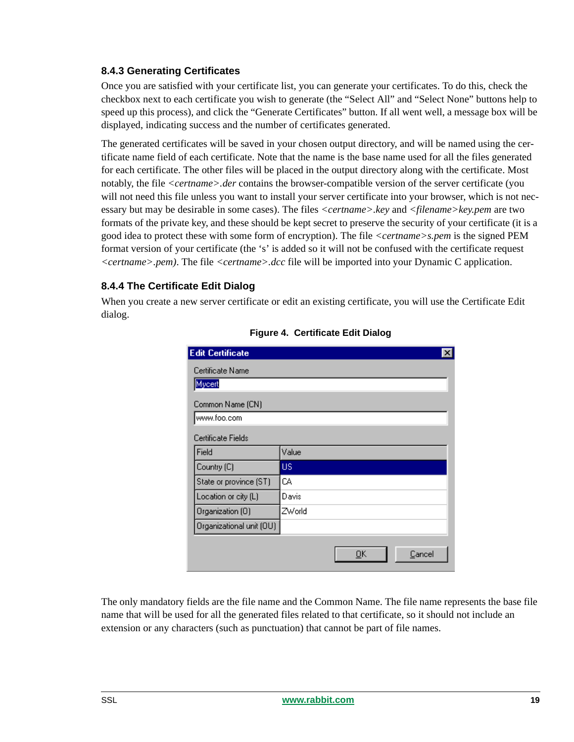#### **8.4.3 Generating Certificates**

Once you are satisfied with your certificate list, you can generate your certificates. To do this, check the checkbox next to each certificate you wish to generate (the "Select All" and "Select None" buttons help to speed up this process), and click the "Generate Certificates" button. If all went well, a message box will be displayed, indicating success and the number of certificates generated.

The generated certificates will be saved in your chosen output directory, and will be named using the certificate name field of each certificate. Note that the name is the base name used for all the files generated for each certificate. The other files will be placed in the output directory along with the certificate. Most notably, the file *<certname>.der* contains the browser-compatible version of the server certificate (you will not need this file unless you want to install your server certificate into your browser, which is not necessary but may be desirable in some cases). The files *<certname>.key* and *<filename>key.pem* are two formats of the private key, and these should be kept secret to preserve the security of your certificate (it is a good idea to protect these with some form of encryption). The file *<certname>s.pem* is the signed PEM format version of your certificate (the 's' is added so it will not be confused with the certificate request *<certname>.pem)*. The file *<certname>.dcc* file will be imported into your Dynamic C application.

#### <span id="page-18-0"></span>**8.4.4 The Certificate Edit Dialog**

When you create a new server certificate or edit an existing certificate, you will use the Certificate Edit dialog.

| <b>Edit Certificate</b>  |        |    | $\times$ |
|--------------------------|--------|----|----------|
| Certificate Name         |        |    |          |
| Mycert                   |        |    |          |
| Common Name (CN)         |        |    |          |
| www.foo.com              |        |    |          |
| Certificate Fields       |        |    |          |
| Field                    | Value  |    |          |
| Country (C)              | US.    |    |          |
| State or province (ST)   | CА     |    |          |
| Location or city (L)     | Davis  |    |          |
| Organization (O)         | ZWorld |    |          |
| Organizational unit (OU) |        |    |          |
|                          |        | QK | Cancel   |

#### **Figure 4. Certificate Edit Dialog**

The only mandatory fields are the file name and the Common Name. The file name represents the base file name that will be used for all the generated files related to that certificate, so it should not include an extension or any characters (such as punctuation) that cannot be part of file names.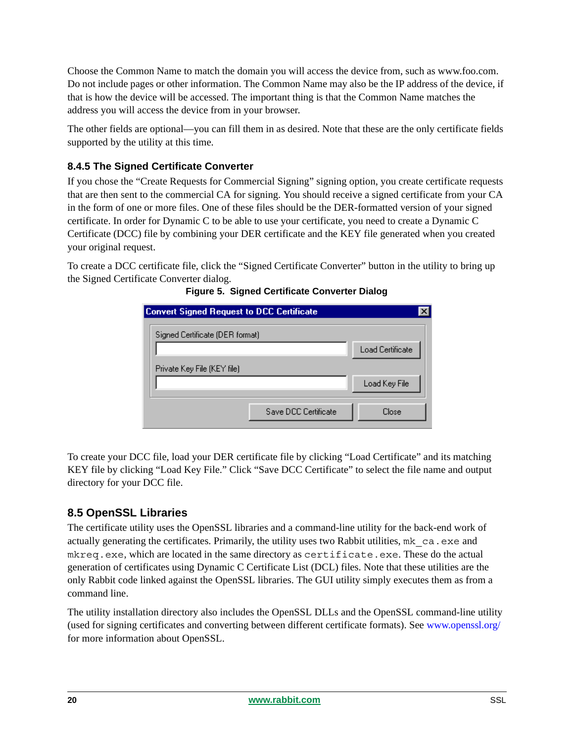Choose the Common Name to match the domain you will access the device from, such as www.foo.com. Do not include pages or other information. The Common Name may also be the IP address of the device, if that is how the device will be accessed. The important thing is that the Common Name matches the address you will access the device from in your browser.

The other fields are optional—you can fill them in as desired. Note that these are the only certificate fields supported by the utility at this time.

### **8.4.5 The Signed Certificate Converter**

If you chose the "Create Requests for Commercial Signing" signing option, you create certificate requests that are then sent to the commercial CA for signing. You should receive a signed certificate from your CA in the form of one or more files. One of these files should be the DER-formatted version of your signed certificate. In order for Dynamic C to be able to use your certificate, you need to create a Dynamic C Certificate (DCC) file by combining your DER certificate and the KEY file generated when you created your original request.

To create a DCC certificate file, click the "Signed Certificate Converter" button in the utility to bring up the Signed Certificate Converter dialog.

| Convert Signed Request to DCC Certificate |                      |                         |
|-------------------------------------------|----------------------|-------------------------|
| Signed Certificate (DER format)           |                      |                         |
|                                           |                      | <b>Load Certificate</b> |
| Private Key File (KEY file)               |                      |                         |
|                                           |                      | Load Key File           |
|                                           | Save DCC Certificate | Close                   |

**Figure 5. Signed Certificate Converter Dialog**

To create your DCC file, load your DER certificate file by clicking "Load Certificate" and its matching KEY file by clicking "Load Key File." Click "Save DCC Certificate" to select the file name and output directory for your DCC file.

### **8.5 OpenSSL Libraries**

The certificate utility uses the OpenSSL libraries and a command-line utility for the back-end work of actually generating the certificates. Primarily, the utility uses two Rabbit utilities,  $mk$  ca.exe and mkreq.exe, which are located in the same directory as certificate.exe. These do the actual generation of certificates using Dynamic C Certificate List (DCL) files. Note that these utilities are the only Rabbit code linked against the OpenSSL libraries. The GUI utility simply executes them as from a command line.

The utility installation directory also includes the OpenSSL DLLs and the OpenSSL command-line utility (used for signing certificates and converting between different certificate formats). See [www.openssl.org/](http://www.openssl.org/) for more information about OpenSSL.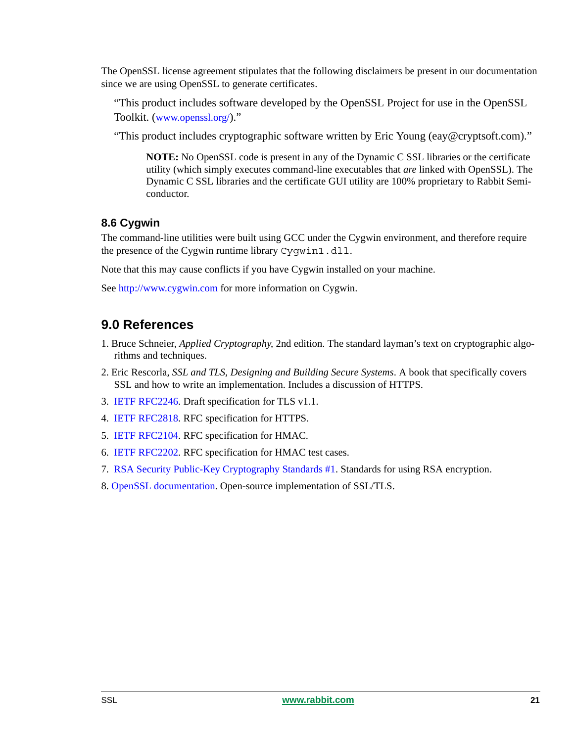The OpenSSL license agreement stipulates that the following disclaimers be present in our documentation since we are using OpenSSL to generate certificates.

"This product includes software developed by the OpenSSL Project for use in the OpenSSL Toolkit. [\(www.openssl.org/](http://www.openssl.org/))."

"This product includes cryptographic software written by Eric Young (eay@cryptsoft.com)."

**NOTE:** No OpenSSL code is present in any of the Dynamic C SSL libraries or the certificate utility (which simply executes command-line executables that *are* linked with OpenSSL). The Dynamic C SSL libraries and the certificate GUI utility are 100% proprietary to Rabbit Semiconductor.

### **8.6 Cygwin**

The command-line utilities were built using GCC under the Cygwin environment, and therefore require the presence of the Cygwin runtime library Cygwin1.dll.

Note that this may cause conflicts if you have Cygwin installed on your machine.

See [http://www.cygwin.com](http://www.cygwin.com/) for more information on Cygwin.

### **9.0 References**

- 1. Bruce Schneier, *Applied Cryptography*, 2nd edition. The standard layman's text on cryptographic algorithms and techniques.
- 2. Eric Rescorla, *SSL and TLS, Designing and Building Secure Systems*. A book that specifically covers SSL and how to write an implementation. Includes a discussion of HTTPS.
- 3. [IETF RFC2246](http://www.ietf.org/internet-drafts/draft-ietf-tls-rfc2246-bis-02.txt). Draft specification for TLS v1.1.
- 4. [IETF RFC2818](http://www.ietf.org/rfc/rfc2818.txt). RFC specification for HTTPS.
- 5. [IETF RFC2104](http://www.ietf.org/rfc/rfc2104.txt). RFC specification for HMAC.
- 6. [IETF RFC2202](http://www.ietf.org/rfc/rfc2202.txt). RFC specification for HMAC test cases.
- 7. [RSA Security Public-Key Cryptography Standards #1](http://www.rsasecurity.com/rsalabs/pkcs/pkcs-1/index.html ). Standards for using RSA encryption.
- 8. [OpenSSL documentation](http://www.openssl.org/). Open-source implementation of SSL/TLS.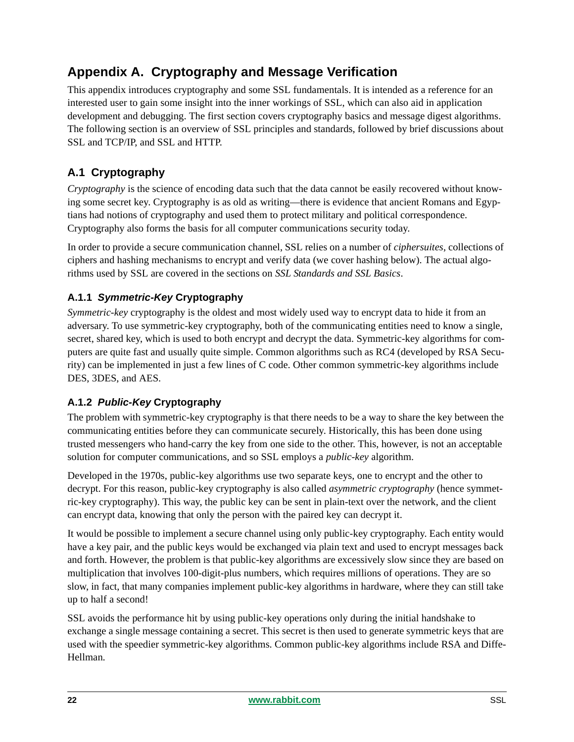# **Appendix A. Cryptography and Message Verification**

This appendix introduces cryptography and some SSL fundamentals. It is intended as a reference for an interested user to gain some insight into the inner workings of SSL, which can also aid in application development and debugging. The first section covers cryptography basics and message digest algorithms. The following section is an overview of SSL principles and standards, followed by brief discussions about SSL and TCP/IP, and SSL and HTTP.

# **A.1 Cryptography**

*Cryptography* is the science of encoding data such that the data cannot be easily recovered without knowing some secret key. Cryptography is as old as writing—there is evidence that ancient Romans and Egyptians had notions of cryptography and used them to protect military and political correspondence. Cryptography also forms the basis for all computer communications security today.

In order to provide a secure communication channel, SSL relies on a number of *ciphersuites*, collections of ciphers and hashing mechanisms to encrypt and verify data (we cover hashing below). The actual algorithms used by SSL are covered in the sections on *[SSL Standards](#page-24-0) and [SSL Basics](#page-10-0)*.

### **A.1.1** *Symmetric-Key* **Cryptography**

*Symmetric-key* cryptography is the oldest and most widely used way to encrypt data to hide it from an adversary. To use symmetric-key cryptography, both of the communicating entities need to know a single, secret, shared key, which is used to both encrypt and decrypt the data. Symmetric-key algorithms for computers are quite fast and usually quite simple. Common algorithms such as RC4 (developed by RSA Security) can be implemented in just a few lines of C code. Other common symmetric-key algorithms include DES, 3DES, and AES.

### **A.1.2** *Public-Key* **Cryptography**

The problem with symmetric-key cryptography is that there needs to be a way to share the key between the communicating entities before they can communicate securely. Historically, this has been done using trusted messengers who hand-carry the key from one side to the other. This, however, is not an acceptable solution for computer communications, and so SSL employs a *public-key* algorithm.

Developed in the 1970s, public-key algorithms use two separate keys, one to encrypt and the other to decrypt. For this reason, public-key cryptography is also called *asymmetric cryptography* (hence symmetric-key cryptography). This way, the public key can be sent in plain-text over the network, and the client can encrypt data, knowing that only the person with the paired key can decrypt it.

It would be possible to implement a secure channel using only public-key cryptography. Each entity would have a key pair, and the public keys would be exchanged via plain text and used to encrypt messages back and forth. However, the problem is that public-key algorithms are excessively slow since they are based on multiplication that involves 100-digit-plus numbers, which requires millions of operations. They are so slow, in fact, that many companies implement public-key algorithms in hardware, where they can still take up to half a second!

SSL avoids the performance hit by using public-key operations only during the initial handshake to exchange a single message containing a secret. This secret is then used to generate symmetric keys that are used with the speedier symmetric-key algorithms. Common public-key algorithms include RSA and Diffe-Hellman.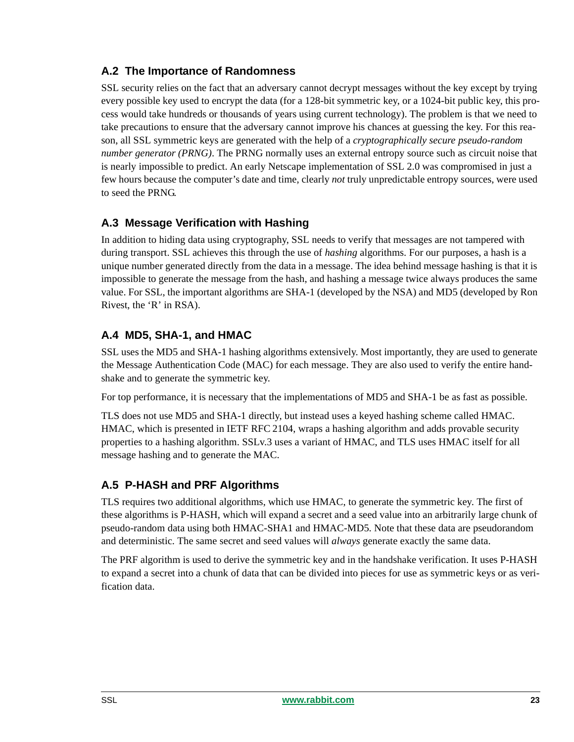### **A.2 The Importance of Randomness**

SSL security relies on the fact that an adversary cannot decrypt messages without the key except by trying every possible key used to encrypt the data (for a 128-bit symmetric key, or a 1024-bit public key, this process would take hundreds or thousands of years using current technology). The problem is that we need to take precautions to ensure that the adversary cannot improve his chances at guessing the key. For this reason, all SSL symmetric keys are generated with the help of a *cryptographically secure pseudo-random number generator (PRNG)*. The PRNG normally uses an external entropy source such as circuit noise that is nearly impossible to predict. An early Netscape implementation of SSL 2.0 was compromised in just a few hours because the computer's date and time, clearly *not* truly unpredictable entropy sources, were used to seed the PRNG.

### **A.3 Message Verification with Hashing**

In addition to hiding data using cryptography, SSL needs to verify that messages are not tampered with during transport. SSL achieves this through the use of *hashing* algorithms. For our purposes, a hash is a unique number generated directly from the data in a message. The idea behind message hashing is that it is impossible to generate the message from the hash, and hashing a message twice always produces the same value. For SSL, the important algorithms are SHA-1 (developed by the NSA) and MD5 (developed by Ron Rivest, the 'R' in RSA).

### **A.4 MD5, SHA-1, and HMAC**

SSL uses the MD5 and SHA-1 hashing algorithms extensively. Most importantly, they are used to generate the Message Authentication Code (MAC) for each message. They are also used to verify the entire handshake and to generate the symmetric key.

For top performance, it is necessary that the implementations of MD5 and SHA-1 be as fast as possible.

TLS does not use MD5 and SHA-1 directly, but instead uses a keyed hashing scheme called HMAC. HMAC, which is presented in IETF RFC 2104, wraps a hashing algorithm and adds provable security properties to a hashing algorithm. SSLv.3 uses a variant of HMAC, and TLS uses HMAC itself for all message hashing and to generate the MAC.

### **A.5 P-HASH and PRF Algorithms**

TLS requires two additional algorithms, which use HMAC, to generate the symmetric key. The first of these algorithms is P-HASH, which will expand a secret and a seed value into an arbitrarily large chunk of pseudo-random data using both HMAC-SHA1 and HMAC-MD5. Note that these data are pseudorandom and deterministic. The same secret and seed values will *always* generate exactly the same data.

The PRF algorithm is used to derive the symmetric key and in the handshake verification. It uses P-HASH to expand a secret into a chunk of data that can be divided into pieces for use as symmetric keys or as verification data.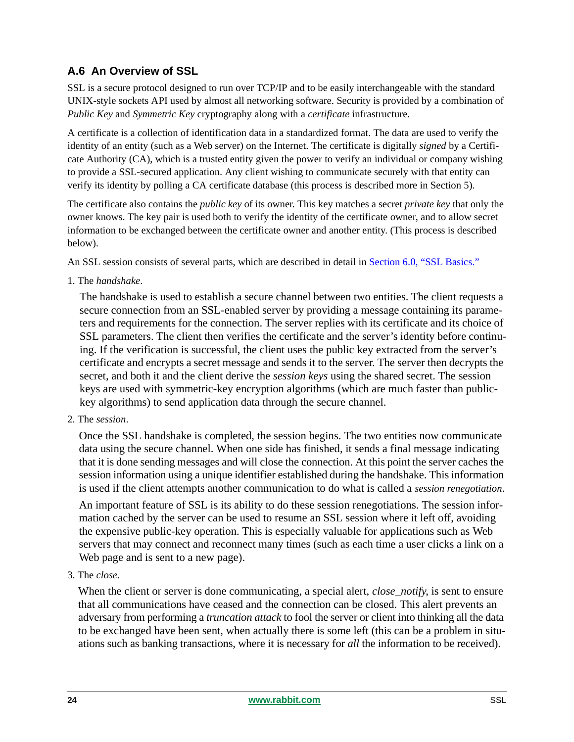# **A.6 An Overview of SSL**

SSL is a secure protocol designed to run over TCP/IP and to be easily interchangeable with the standard UNIX-style sockets API used by almost all networking software. Security is provided by a combination of *Public Key* and *Symmetric Key* cryptography along with a *certificate* infrastructure.

A certificate is a collection of identification data in a standardized format. The data are used to verify the identity of an entity (such as a Web server) on the Internet. The certificate is digitally *signed* by a Certificate Authority (CA), which is a trusted entity given the power to verify an individual or company wishing to provide a SSL-secured application. Any client wishing to communicate securely with that entity can verify its identity by polling a CA certificate database (this process is described more in Section 5).

The certificate also contains the *public key* of its owner. This key matches a secret *private key* that only the owner knows. The key pair is used both to verify the identity of the certificate owner, and to allow secret information to be exchanged between the certificate owner and another entity. (This process is described below).

An SSL session consists of several parts, which are described in detail in [Section 6.0, "SSL Basics."](#page-10-0)

1. The *handshake*.

The handshake is used to establish a secure channel between two entities. The client requests a secure connection from an SSL-enabled server by providing a message containing its parameters and requirements for the connection. The server replies with its certificate and its choice of SSL parameters. The client then verifies the certificate and the server's identity before continuing. If the verification is successful, the client uses the public key extracted from the server's certificate and encrypts a secret message and sends it to the server. The server then decrypts the secret, and both it and the client derive the *session keys* using the shared secret. The session keys are used with symmetric-key encryption algorithms (which are much faster than publickey algorithms) to send application data through the secure channel.

2. The *session*.

Once the SSL handshake is completed, the session begins. The two entities now communicate data using the secure channel. When one side has finished, it sends a final message indicating that it is done sending messages and will close the connection. At this point the server caches the session information using a unique identifier established during the handshake. This information is used if the client attempts another communication to do what is called a *session renegotiation*.

An important feature of SSL is its ability to do these session renegotiations. The session information cached by the server can be used to resume an SSL session where it left off, avoiding the expensive public-key operation. This is especially valuable for applications such as Web servers that may connect and reconnect many times (such as each time a user clicks a link on a Web page and is sent to a new page).

3. The *close*.

When the client or server is done communicating, a special alert, *close\_notify*, is sent to ensure that all communications have ceased and the connection can be closed. This alert prevents an adversary from performing a *truncation attack* to fool the server or client into thinking all the data to be exchanged have been sent, when actually there is some left (this can be a problem in situations such as banking transactions, where it is necessary for *all* the information to be received).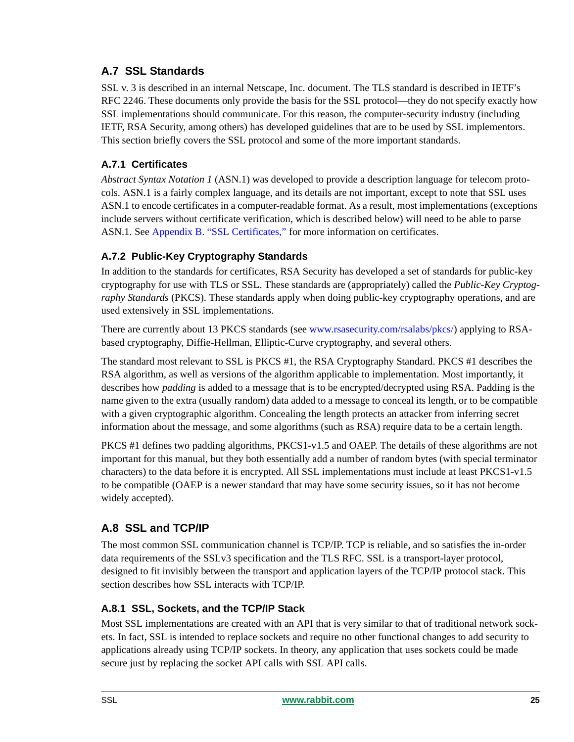### <span id="page-24-0"></span>**A.7 SSL Standards**

SSL v. 3 is described in an internal Netscape, Inc. document. The TLS standard is described in IETF's RFC 2246. These documents only provide the basis for the SSL protocol—they do not specify exactly how SSL implementations should communicate. For this reason, the computer-security industry (including IETF, RSA Security, among others) has developed guidelines that are to be used by SSL implementors. This section briefly covers the SSL protocol and some of the more important standards.

### **A.7.1 Certificates**

*Abstract Syntax Notation 1* (ASN.1) was developed to provide a description language for telecom protocols. ASN.1 is a fairly complex language, and its details are not important, except to note that SSL uses ASN.1 to encode certificates in a computer-readable format. As a result, most implementations (exceptions include servers without certificate verification, which is described below) will need to be able to parse ASN.1. See [Appendix B. "SSL Certificates,"](#page-27-0) for more information on certificates.

### **A.7.2 Public-Key Cryptography Standards**

In addition to the standards for certificates, RSA Security has developed a set of standards for public-key cryptography for use with TLS or SSL. These standards are (appropriately) called the *Public-Key Cryptography Standards* (PKCS). These standards apply when doing public-key cryptography operations, and are used extensively in SSL implementations.

There are currently about 13 PKCS standards (see [www.rsasecurity.com/rsalabs/pkcs/](http://www.rsasecurity.com/rsalabs/pkcs/)) applying to RSAbased cryptography, Diffie-Hellman, Elliptic-Curve cryptography, and several others.

The standard most relevant to SSL is PKCS #1, the RSA Cryptography Standard. PKCS #1 describes the RSA algorithm, as well as versions of the algorithm applicable to implementation. Most importantly, it describes how *padding* is added to a message that is to be encrypted/decrypted using RSA. Padding is the name given to the extra (usually random) data added to a message to conceal its length, or to be compatible with a given cryptographic algorithm. Concealing the length protects an attacker from inferring secret information about the message, and some algorithms (such as RSA) require data to be a certain length.

PKCS #1 defines two padding algorithms, PKCS1-v1.5 and OAEP. The details of these algorithms are not important for this manual, but they both essentially add a number of random bytes (with special terminator characters) to the data before it is encrypted. All SSL implementations must include at least PKCS1-v1.5 to be compatible (OAEP is a newer standard that may have some security issues, so it has not become widely accepted).

### **A.8 SSL and TCP/IP**

The most common SSL communication channel is TCP/IP. TCP is reliable, and so satisfies the in-order data requirements of the SSLv3 specification and the TLS RFC. SSL is a transport-layer protocol, designed to fit invisibly between the transport and application layers of the TCP/IP protocol stack. This section describes how SSL interacts with TCP/IP.

### **A.8.1 SSL, Sockets, and the TCP/IP Stack**

Most SSL implementations are created with an API that is very similar to that of traditional network sockets. In fact, SSL is intended to replace sockets and require no other functional changes to add security to applications already using TCP/IP sockets. In theory, any application that uses sockets could be made secure just by replacing the socket API calls with SSL API calls.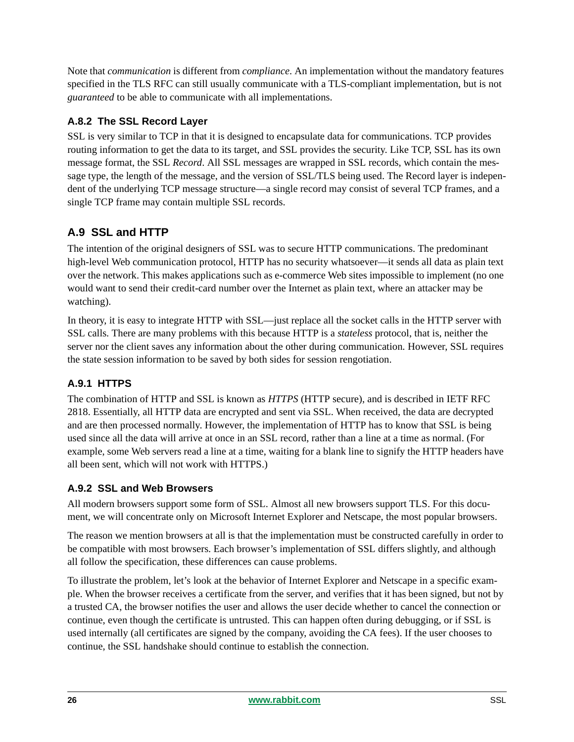Note that *communication* is different from *compliance*. An implementation without the mandatory features specified in the TLS RFC can still usually communicate with a TLS-compliant implementation, but is not *guaranteed* to be able to communicate with all implementations.

### **A.8.2 The SSL Record Layer**

SSL is very similar to TCP in that it is designed to encapsulate data for communications. TCP provides routing information to get the data to its target, and SSL provides the security. Like TCP, SSL has its own message format, the SSL *Record*. All SSL messages are wrapped in SSL records, which contain the message type, the length of the message, and the version of SSL/TLS being used. The Record layer is independent of the underlying TCP message structure—a single record may consist of several TCP frames, and a single TCP frame may contain multiple SSL records.

### **A.9 SSL and HTTP**

The intention of the original designers of SSL was to secure HTTP communications. The predominant high-level Web communication protocol, HTTP has no security whatsoever—it sends all data as plain text over the network. This makes applications such as e-commerce Web sites impossible to implement (no one would want to send their credit-card number over the Internet as plain text, where an attacker may be watching).

In theory, it is easy to integrate HTTP with SSL—just replace all the socket calls in the HTTP server with SSL calls. There are many problems with this because HTTP is a *stateless* protocol, that is, neither the server nor the client saves any information about the other during communication. However, SSL requires the state session information to be saved by both sides for session rengotiation.

### **A.9.1 HTTPS**

The combination of HTTP and SSL is known as *HTTPS* (HTTP secure), and is described in IETF RFC 2818. Essentially, all HTTP data are encrypted and sent via SSL. When received, the data are decrypted and are then processed normally. However, the implementation of HTTP has to know that SSL is being used since all the data will arrive at once in an SSL record, rather than a line at a time as normal. (For example, some Web servers read a line at a time, waiting for a blank line to signify the HTTP headers have all been sent, which will not work with HTTPS.)

### **A.9.2 SSL and Web Browsers**

All modern browsers support some form of SSL. Almost all new browsers support TLS. For this document, we will concentrate only on Microsoft Internet Explorer and Netscape, the most popular browsers.

The reason we mention browsers at all is that the implementation must be constructed carefully in order to be compatible with most browsers. Each browser's implementation of SSL differs slightly, and although all follow the specification, these differences can cause problems.

To illustrate the problem, let's look at the behavior of Internet Explorer and Netscape in a specific example. When the browser receives a certificate from the server, and verifies that it has been signed, but not by a trusted CA, the browser notifies the user and allows the user decide whether to cancel the connection or continue, even though the certificate is untrusted. This can happen often during debugging, or if SSL is used internally (all certificates are signed by the company, avoiding the CA fees). If the user chooses to continue, the SSL handshake should continue to establish the connection.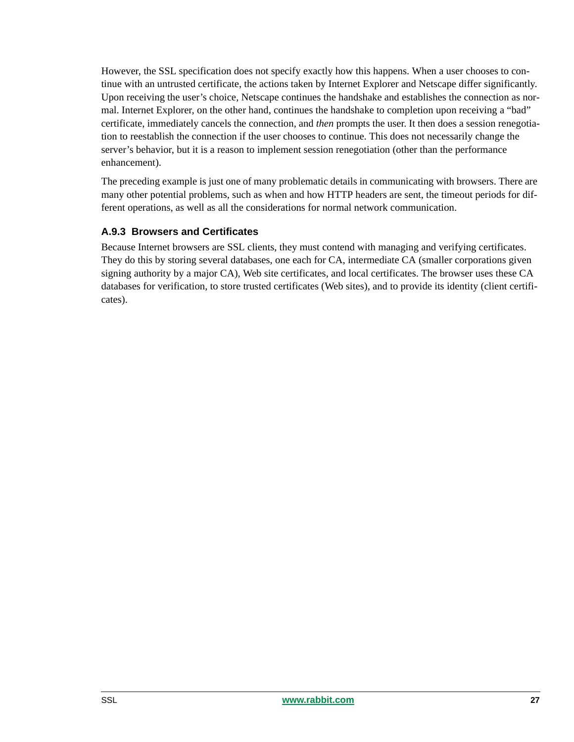However, the SSL specification does not specify exactly how this happens. When a user chooses to continue with an untrusted certificate, the actions taken by Internet Explorer and Netscape differ significantly. Upon receiving the user's choice, Netscape continues the handshake and establishes the connection as normal. Internet Explorer, on the other hand, continues the handshake to completion upon receiving a "bad" certificate, immediately cancels the connection, and *then* prompts the user. It then does a session renegotiation to reestablish the connection if the user chooses to continue. This does not necessarily change the server's behavior, but it is a reason to implement session renegotiation (other than the performance enhancement).

The preceding example is just one of many problematic details in communicating with browsers. There are many other potential problems, such as when and how HTTP headers are sent, the timeout periods for different operations, as well as all the considerations for normal network communication.

### **A.9.3 Browsers and Certificates**

Because Internet browsers are SSL clients, they must contend with managing and verifying certificates. They do this by storing several databases, one each for CA, intermediate CA (smaller corporations given signing authority by a major CA), Web site certificates, and local certificates. The browser uses these CA databases for verification, to store trusted certificates (Web sites), and to provide its identity (client certificates).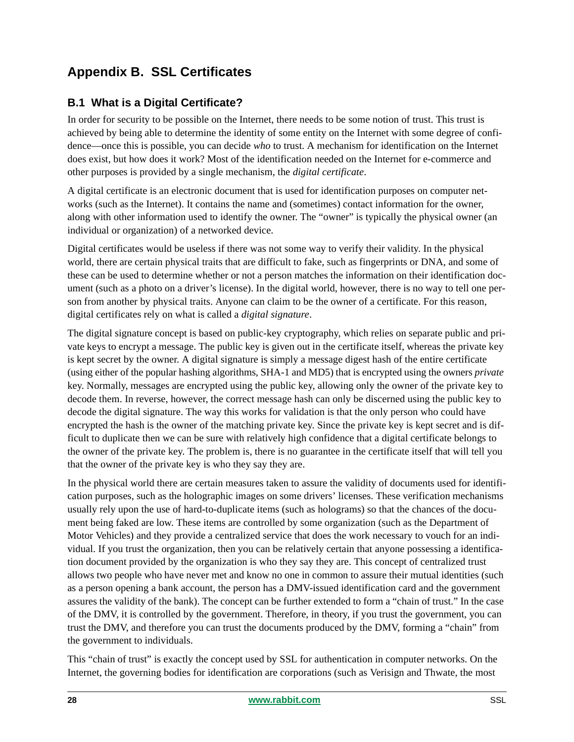# <span id="page-27-0"></span>**Appendix B. SSL Certificates**

### **B.1 What is a Digital Certificate?**

In order for security to be possible on the Internet, there needs to be some notion of trust. This trust is achieved by being able to determine the identity of some entity on the Internet with some degree of confidence—once this is possible, you can decide *who* to trust. A mechanism for identification on the Internet does exist, but how does it work? Most of the identification needed on the Internet for e-commerce and other purposes is provided by a single mechanism, the *digital certificate*.

A digital certificate is an electronic document that is used for identification purposes on computer networks (such as the Internet). It contains the name and (sometimes) contact information for the owner, along with other information used to identify the owner. The "owner" is typically the physical owner (an individual or organization) of a networked device.

Digital certificates would be useless if there was not some way to verify their validity. In the physical world, there are certain physical traits that are difficult to fake, such as fingerprints or DNA, and some of these can be used to determine whether or not a person matches the information on their identification document (such as a photo on a driver's license). In the digital world, however, there is no way to tell one person from another by physical traits. Anyone can claim to be the owner of a certificate. For this reason, digital certificates rely on what is called a *digital signature*.

The digital signature concept is based on public-key cryptography, which relies on separate public and private keys to encrypt a message. The public key is given out in the certificate itself, whereas the private key is kept secret by the owner. A digital signature is simply a message digest hash of the entire certificate (using either of the popular hashing algorithms, SHA-1 and MD5) that is encrypted using the owners *private* key. Normally, messages are encrypted using the public key, allowing only the owner of the private key to decode them. In reverse, however, the correct message hash can only be discerned using the public key to decode the digital signature. The way this works for validation is that the only person who could have encrypted the hash is the owner of the matching private key. Since the private key is kept secret and is difficult to duplicate then we can be sure with relatively high confidence that a digital certificate belongs to the owner of the private key. The problem is, there is no guarantee in the certificate itself that will tell you that the owner of the private key is who they say they are.

In the physical world there are certain measures taken to assure the validity of documents used for identification purposes, such as the holographic images on some drivers' licenses. These verification mechanisms usually rely upon the use of hard-to-duplicate items (such as holograms) so that the chances of the document being faked are low. These items are controlled by some organization (such as the Department of Motor Vehicles) and they provide a centralized service that does the work necessary to vouch for an individual. If you trust the organization, then you can be relatively certain that anyone possessing a identification document provided by the organization is who they say they are. This concept of centralized trust allows two people who have never met and know no one in common to assure their mutual identities (such as a person opening a bank account, the person has a DMV-issued identification card and the government assures the validity of the bank). The concept can be further extended to form a "chain of trust." In the case of the DMV, it is controlled by the government. Therefore, in theory, if you trust the government, you can trust the DMV, and therefore you can trust the documents produced by the DMV, forming a "chain" from the government to individuals.

This "chain of trust" is exactly the concept used by SSL for authentication in computer networks. On the Internet, the governing bodies for identification are corporations (such as Verisign and Thwate, the most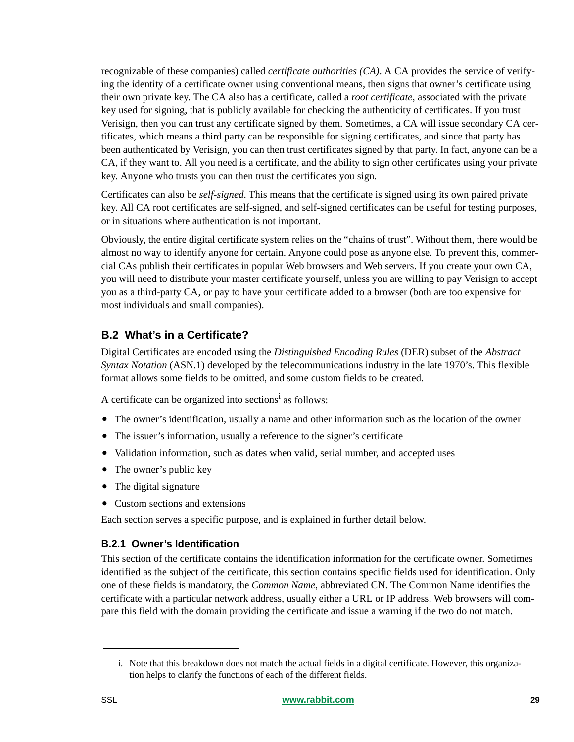recognizable of these companies) called *certificate authorities (CA)*. A CA provides the service of verifying the identity of a certificate owner using conventional means, then signs that owner's certificate using their own private key. The CA also has a certificate, called a *root certificate*, associated with the private key used for signing, that is publicly available for checking the authenticity of certificates. If you trust Verisign, then you can trust any certificate signed by them. Sometimes, a CA will issue secondary CA certificates, which means a third party can be responsible for signing certificates, and since that party has been authenticated by Verisign, you can then trust certificates signed by that party. In fact, anyone can be a CA, if they want to. All you need is a certificate, and the ability to sign other certificates using your private key. Anyone who trusts you can then trust the certificates you sign.

Certificates can also be *self-signed*. This means that the certificate is signed using its own paired private key. All CA root certificates are self-signed, and self-signed certificates can be useful for testing purposes, or in situations where authentication is not important.

Obviously, the entire digital certificate system relies on the "chains of trust". Without them, there would be almost no way to identify anyone for certain. Anyone could pose as anyone else. To prevent this, commercial CAs publish their certificates in popular Web browsers and Web servers. If you create your own CA, you will need to distribute your master certificate yourself, unless you are willing to pay Verisign to accept you as a third-party CA, or pay to have your certificate added to a browser (both are too expensive for most individuals and small companies).

### **B.2 What's in a Certificate?**

Digital Certificates are encoded using the *Distinguished Encoding Rules* (DER) subset of the *Abstract Syntax Notation* (ASN.1) developed by the telecommunications industry in the late 1970's. This flexible format allows some fields to be omitted, and some custom fields to be created.

A certificate can be organized into sections<sup>1</sup> as follows:

- The owner's identification, usually a name and other information such as the location of the owner
- The issuer's information, usually a reference to the signer's certificate
- Validation information, such as dates when valid, serial number, and accepted uses
- The owner's public key
- The digital signature
- Custom sections and extensions

Each section serves a specific purpose, and is explained in further detail below.

### **B.2.1 Owner's Identification**

This section of the certificate contains the identification information for the certificate owner. Sometimes identified as the subject of the certificate, this section contains specific fields used for identification. Only one of these fields is mandatory, the *Common Name*, abbreviated CN. The Common Name identifies the certificate with a particular network address, usually either a URL or IP address. Web browsers will compare this field with the domain providing the certificate and issue a warning if the two do not match.

i. Note that this breakdown does not match the actual fields in a digital certificate. However, this organization helps to clarify the functions of each of the different fields.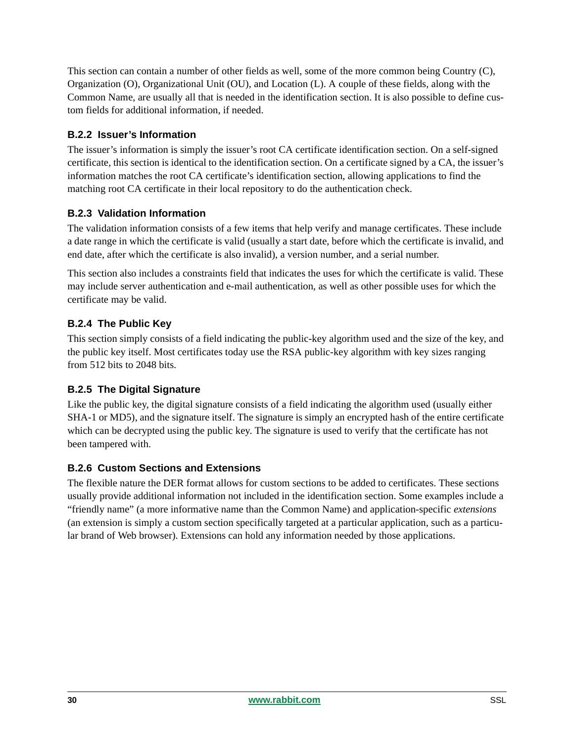This section can contain a number of other fields as well, some of the more common being Country (C), Organization (O), Organizational Unit (OU), and Location (L). A couple of these fields, along with the Common Name, are usually all that is needed in the identification section. It is also possible to define custom fields for additional information, if needed.

#### **B.2.2 Issuer's Information**

The issuer's information is simply the issuer's root CA certificate identification section. On a self-signed certificate, this section is identical to the identification section. On a certificate signed by a CA, the issuer's information matches the root CA certificate's identification section, allowing applications to find the matching root CA certificate in their local repository to do the authentication check.

#### **B.2.3 Validation Information**

The validation information consists of a few items that help verify and manage certificates. These include a date range in which the certificate is valid (usually a start date, before which the certificate is invalid, and end date, after which the certificate is also invalid), a version number, and a serial number.

This section also includes a constraints field that indicates the uses for which the certificate is valid. These may include server authentication and e-mail authentication, as well as other possible uses for which the certificate may be valid.

### **B.2.4 The Public Key**

This section simply consists of a field indicating the public-key algorithm used and the size of the key, and the public key itself. Most certificates today use the RSA public-key algorithm with key sizes ranging from 512 bits to 2048 bits.

#### **B.2.5 The Digital Signature**

Like the public key, the digital signature consists of a field indicating the algorithm used (usually either SHA-1 or MD5), and the signature itself. The signature is simply an encrypted hash of the entire certificate which can be decrypted using the public key. The signature is used to verify that the certificate has not been tampered with.

#### **B.2.6 Custom Sections and Extensions**

The flexible nature the DER format allows for custom sections to be added to certificates. These sections usually provide additional information not included in the identification section. Some examples include a "friendly name" (a more informative name than the Common Name) and application-specific *extensions* (an extension is simply a custom section specifically targeted at a particular application, such as a particular brand of Web browser). Extensions can hold any information needed by those applications.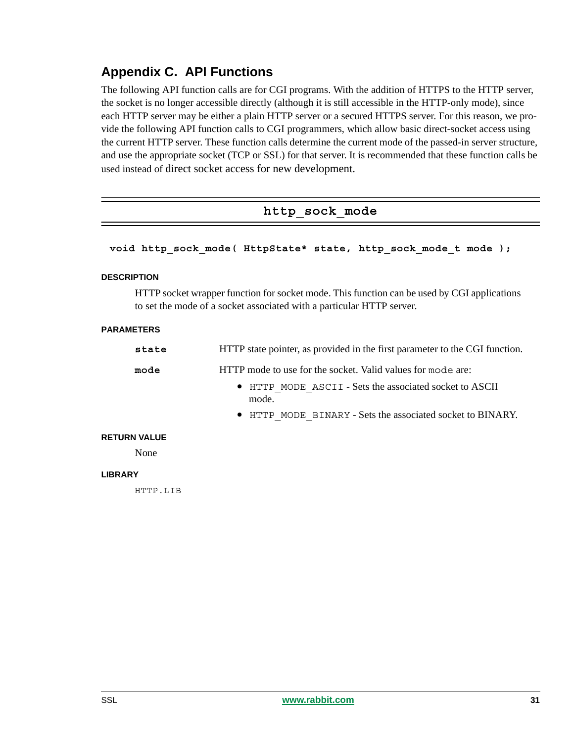# <span id="page-30-0"></span>**Appendix C. API Functions**

The following API function calls are for CGI programs. With the addition of HTTPS to the HTTP server, the socket is no longer accessible directly (although it is still accessible in the HTTP-only mode), since each HTTP server may be either a plain HTTP server or a secured HTTPS server. For this reason, we provide the following API function calls to CGI programmers, which allow basic direct-socket access using the current HTTP server. These function calls determine the current mode of the passed-in server structure, and use the appropriate socket (TCP or SSL) for that server. It is recommended that these function calls be used instead of direct socket access for new development.

### **http\_sock\_mode**

#### **void http\_sock\_mode( HttpState\* state, http\_sock\_mode\_t mode );**

#### **DESCRIPTION**

HTTP socket wrapper function for socket mode. This function can be used by CGI applications to set the mode of a socket associated with a particular HTTP server.

#### **PARAMETERS**

| state | HTTP state pointer, as provided in the first parameter to the CGI function. |
|-------|-----------------------------------------------------------------------------|
| mode  | HTTP mode to use for the socket. Valid values for mode are:                 |
|       | • HTTP MODE ASCII - Sets the associated socket to ASCII<br>mode.            |
|       | • HTTP MODE BINARY - Sets the associated socket to BINARY.                  |

#### **RETURN VALUE**

None

#### **LIBRARY**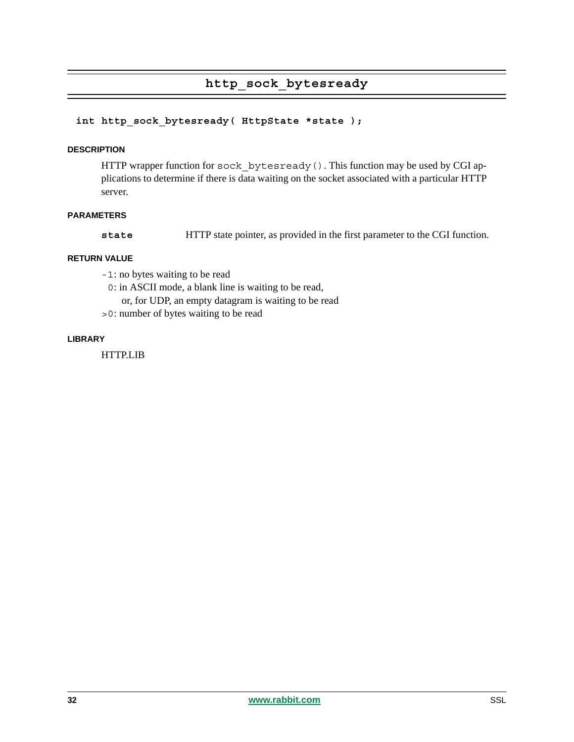### **http\_sock\_bytesready**

#### int http sock bytesready( HttpState \*state );

#### **DESCRIPTION**

HTTP wrapper function for sock bytesready(). This function may be used by CGI applications to determine if there is data waiting on the socket associated with a particular HTTP server.

#### **PARAMETERS**

**state** HTTP state pointer, as provided in the first parameter to the CGI function.

#### **RETURN VALUE**

- -1: no bytes waiting to be read
- 0: in ASCII mode, a blank line is waiting to be read,
	- or, for UDP, an empty datagram is waiting to be read
- >0: number of bytes waiting to be read

#### **LIBRARY**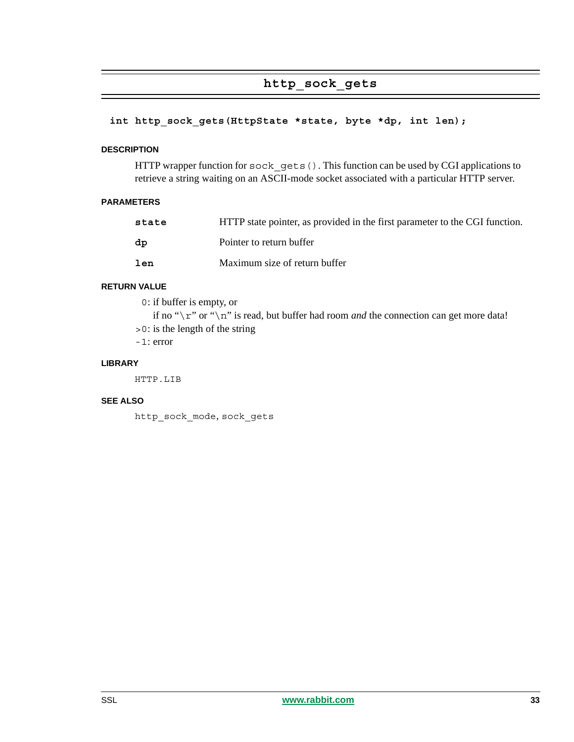### **http\_sock\_gets**

#### int http sock gets(HttpState \*state, byte \*dp, int len);

#### **DESCRIPTION**

HTTP wrapper function for sock gets(). This function can be used by CGI applications to retrieve a string waiting on an ASCII-mode socket associated with a particular HTTP server.

#### **PARAMETERS**

| state | HTTP state pointer, as provided in the first parameter to the CGI function. |
|-------|-----------------------------------------------------------------------------|
| dp    | Pointer to return buffer                                                    |
| len   | Maximum size of return buffer                                               |

#### **RETURN VALUE**

0: if buffer is empty, or

if no " $\r \r$ " or " $\n \r \r$ " is read, but buffer had room *and* the connection can get more data! >0: is the length of the string

-1: error

#### **LIBRARY**

HTTP.LIB

#### **SEE ALSO**

http\_sock\_mode, sock\_gets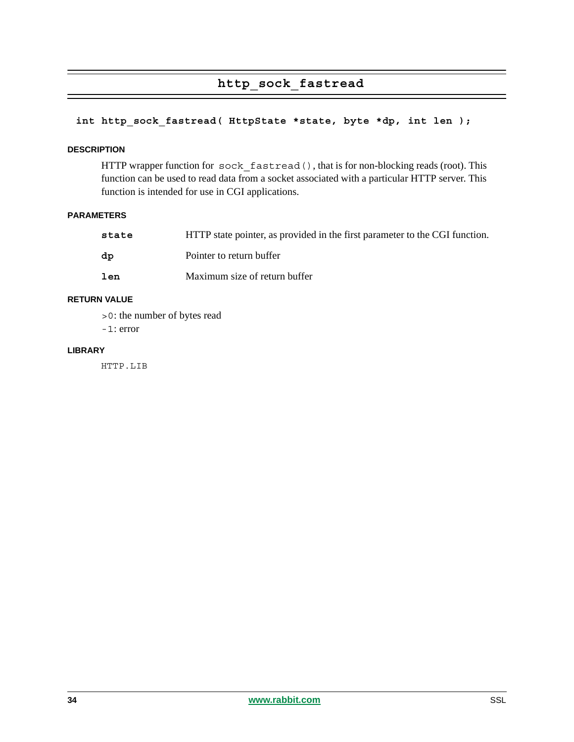### **http\_sock\_fastread**

### int http sock fastread( HttpState \*state, byte \*dp, int len );

#### **DESCRIPTION**

HTTP wrapper function for sock fastread(), that is for non-blocking reads (root). This function can be used to read data from a socket associated with a particular HTTP server. This function is intended for use in CGI applications.

#### **PARAMETERS**

| state | HTTP state pointer, as provided in the first parameter to the CGI function. |
|-------|-----------------------------------------------------------------------------|
| dp    | Pointer to return buffer                                                    |
| len   | Maximum size of return buffer                                               |

#### **RETURN VALUE**

>0: the number of bytes read

-1: error

#### **LIBRARY**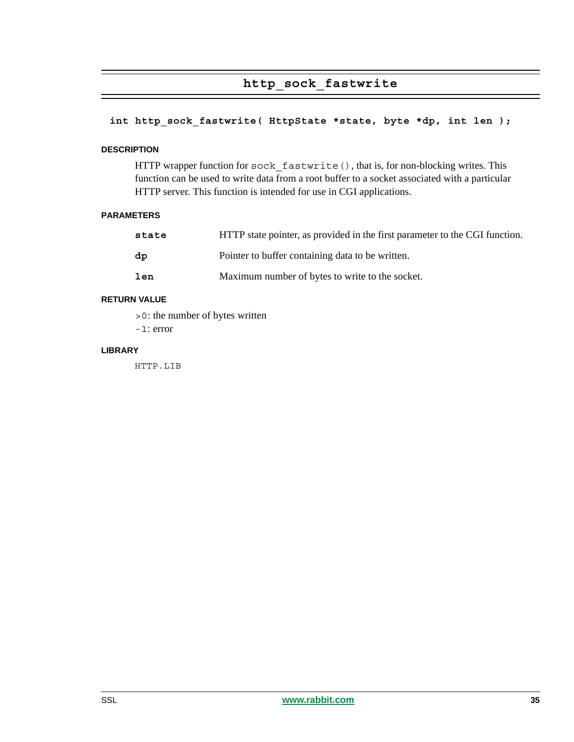### **http\_sock\_fastwrite**

#### int http sock fastwrite( HttpState \*state, byte \*dp, int len );

#### **DESCRIPTION**

HTTP wrapper function for sock fastwrite(), that is, for non-blocking writes. This function can be used to write data from a root buffer to a socket associated with a particular HTTP server. This function is intended for use in CGI applications.

#### **PARAMETERS**

| state | HTTP state pointer, as provided in the first parameter to the CGI function. |
|-------|-----------------------------------------------------------------------------|
| dp    | Pointer to buffer containing data to be written.                            |
| len   | Maximum number of bytes to write to the socket.                             |

#### **RETURN VALUE**

>0: the number of bytes written

-1: error

#### **LIBRARY**